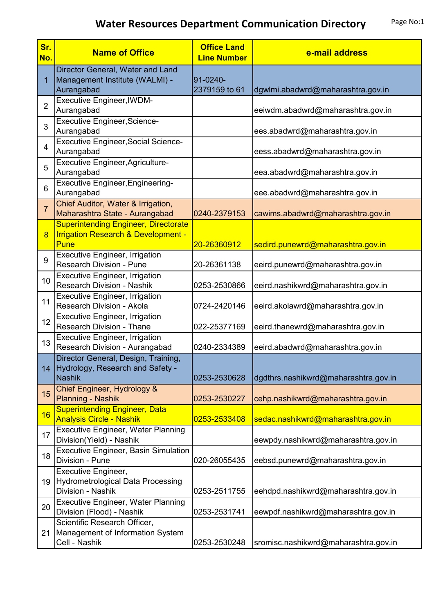| Sr.<br>No.     | <b>Name of Office</b>                                                                                 | <b>Office Land</b><br><b>Line Number</b> | e-mail address                       |
|----------------|-------------------------------------------------------------------------------------------------------|------------------------------------------|--------------------------------------|
| 1              | Director General, Water and Land<br>Management Institute (WALMI) -<br>Aurangabad                      | 91-0240-<br>2379159 to 61                | dgwlmi.abadwrd@maharashtra.gov.in    |
| $\overline{2}$ | <b>Executive Engineer, IWDM-</b><br>Aurangabad                                                        |                                          | eeiwdm.abadwrd@maharashtra.gov.in    |
| 3              | <b>Executive Engineer, Science-</b><br>Aurangabad                                                     |                                          | ees.abadwrd@maharashtra.gov.in       |
| $\overline{4}$ | <b>Executive Engineer, Social Science-</b><br>Aurangabad                                              |                                          | eess.abadwrd@maharashtra.gov.in      |
| 5              | <b>Executive Engineer, Agriculture-</b><br>Aurangabad                                                 |                                          | eea.abadwrd@maharashtra.gov.in       |
| 6              | <b>Executive Engineer, Engineering-</b><br>Aurangabad                                                 |                                          | eee.abadwrd@maharashtra.gov.in       |
| $\overline{7}$ | Chief Auditor, Water & Irrigation,<br>Maharashtra State - Aurangabad                                  | 0240-2379153                             | cawims.abadwrd@maharashtra.gov.in    |
| 8              | <b>Superintending Engineer, Directorate</b><br><b>Irrigation Research &amp; Development -</b><br>Pune | 20-26360912                              | sedird.punewrd@maharashtra.gov.in    |
| 9              | <b>Executive Engineer, Irrigation</b><br><b>Research Division - Pune</b>                              | 20-26361138                              | eeird.punewrd@maharashtra.gov.in     |
| 10             | <b>Executive Engineer, Irrigation</b><br><b>Research Division - Nashik</b>                            | 0253-2530866                             | eeird.nashikwrd@maharashtra.gov.in   |
| 11             | <b>Executive Engineer, Irrigation</b><br>Research Division - Akola                                    | 0724-2420146                             | eeird.akolawrd@maharashtra.gov.in    |
| 12             | Executive Engineer, Irrigation<br><b>Research Division - Thane</b>                                    | 022-25377169                             | eeird.thanewrd@maharashtra.gov.in    |
| 13             | Executive Engineer, Irrigation<br>Research Division - Aurangabad                                      | 0240-2334389                             | eeird.abadwrd@maharashtra.gov.in     |
| 14             | Director General, Design, Training,<br>Hydrology, Research and Safety -<br>Nashik                     | 0253-2530628                             | dgdthrs.nashikwrd@maharashtra.gov.in |
| 15             | Chief Engineer, Hydrology &<br><b>Planning - Nashik</b>                                               | 0253-2530227                             | cehp.nashikwrd@maharashtra.gov.in    |
| 16             | <b>Superintending Engineer, Data</b><br><b>Analysis Circle - Nashik</b>                               | 0253-2533408                             | sedac.nashikwrd@maharashtra.gov.in   |
| 17             | <b>Executive Engineer, Water Planning</b><br>Division(Yield) - Nashik                                 |                                          | eewpdy.nashikwrd@maharashtra.gov.in  |
| 18             | Executive Engineer, Basin Simulation<br>Division - Pune                                               | 020-26055435                             | eebsd.punewrd@maharashtra.gov.in     |
| 19             | <b>Executive Engineer,</b><br><b>Hydrometrological Data Processing</b><br>Division - Nashik           | 0253-2511755                             | eehdpd.nashikwrd@maharashtra.gov.in  |
| 20             | <b>Executive Engineer, Water Planning</b><br>Division (Flood) - Nashik                                | 0253-2531741                             | eewpdf.nashikwrd@maharashtra.gov.in  |
| 21             | Scientific Research Officer,<br>Management of Information System<br>Cell - Nashik                     | 0253-2530248                             | sromisc.nashikwrd@maharashtra.gov.in |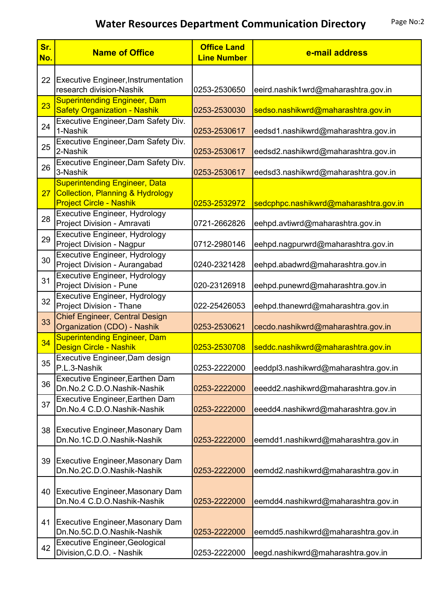| Sr.<br>No.      | <b>Name of Office</b>                                                                                                 | <b>Office Land</b><br><b>Line Number</b> | e-mail address                        |
|-----------------|-----------------------------------------------------------------------------------------------------------------------|------------------------------------------|---------------------------------------|
| 22              | <b>Executive Engineer, Instrumentation</b><br>research division-Nashik                                                | 0253-2530650                             | eeird.nashik1wrd@maharashtra.gov.in   |
| 23              | <b>Superintending Engineer, Dam</b><br><b>Safety Organization - Nashik</b>                                            | 0253-2530030                             | sedso.nashikwrd@maharashtra.gov.in    |
| 24              | Executive Engineer, Dam Safety Div.<br>1-Nashik                                                                       | 0253-2530617                             | eedsd1.nashikwrd@maharashtra.gov.in   |
| 25              | Executive Engineer, Dam Safety Div.<br>2-Nashik                                                                       | 0253-2530617                             | eedsd2.nashikwrd@maharashtra.gov.in   |
| 26              | Executive Engineer, Dam Safety Div.<br>3-Nashik                                                                       | 0253-2530617                             | eedsd3.nashikwrd@maharashtra.gov.in   |
| 27 <sub>2</sub> | <b>Superintending Engineer, Data</b><br><b>Collection, Planning &amp; Hydrology</b><br><b>Project Circle - Nashik</b> | 0253-2532972                             | sedcphpc.nashikwrd@maharashtra.gov.in |
| 28              | Executive Engineer, Hydrology<br>Project Division - Amravati                                                          | 0721-2662826                             | eehpd.avtiwrd@maharashtra.gov.in      |
| 29              | Executive Engineer, Hydrology<br>Project Division - Nagpur                                                            | 0712-2980146                             | eehpd.nagpurwrd@maharashtra.gov.in    |
| 30              | Executive Engineer, Hydrology<br>Project Division - Aurangabad                                                        | 0240-2321428                             | eehpd.abadwrd@maharashtra.gov.in      |
| 31              | Executive Engineer, Hydrology<br>Project Division - Pune<br>Executive Engineer, Hydrology                             | 020-23126918                             | eehpd.punewrd@maharashtra.gov.in      |
| 32              | Project Division - Thane<br><b>Chief Engineer, Central Design</b>                                                     | 022-25426053                             | eehpd.thanewrd@maharashtra.gov.in     |
| 33              | Organization (CDO) - Nashik<br><b>Superintending Engineer, Dam</b>                                                    | 0253-2530621                             | cecdo.nashikwrd@maharashtra.gov.in    |
| 34              | Design Circle - Nashik<br>Executive Engineer, Dam design                                                              | 0253-2530708                             | seddc.nashikwrd@maharashtra.gov.in    |
| 35              | P.L.3-Nashik<br>Executive Engineer, Earthen Dam                                                                       | 0253-2222000                             | eeddpl3.nashikwrd@maharashtra.gov.in  |
| 36              | Dn.No.2 C.D.O.Nashik-Nashik<br>Executive Engineer, Earthen Dam                                                        | 0253-2222000                             | eeedd2.nashikwrd@maharashtra.gov.in   |
| 37              | Dn.No.4 C.D.O.Nashik-Nashik                                                                                           | 0253-2222000                             | eeedd4.nashikwrd@maharashtra.gov.in   |
| 38              | Executive Engineer, Masonary Dam<br>Dn.No.1C.D.O.Nashik-Nashik                                                        | 0253-2222000                             | eemdd1.nashikwrd@maharashtra.gov.in   |
| 39              | <b>Executive Engineer, Masonary Dam</b><br>Dn.No.2C.D.O.Nashik-Nashik                                                 | 0253-2222000                             | eemdd2.nashikwrd@maharashtra.gov.in   |
| 40              | <b>Executive Engineer, Masonary Dam</b><br>Dn.No.4 C.D.O.Nashik-Nashik                                                | 0253-2222000                             | eemdd4.nashikwrd@maharashtra.gov.in   |
| 41              | <b>Executive Engineer, Masonary Dam</b><br>Dn.No.5C.D.O.Nashik-Nashik                                                 | 0253-2222000                             | eemdd5.nashikwrd@maharashtra.gov.in   |
| 42              | <b>Executive Engineer, Geological</b><br>Division, C.D.O. - Nashik                                                    | 0253-2222000                             | eegd.nashikwrd@maharashtra.gov.in     |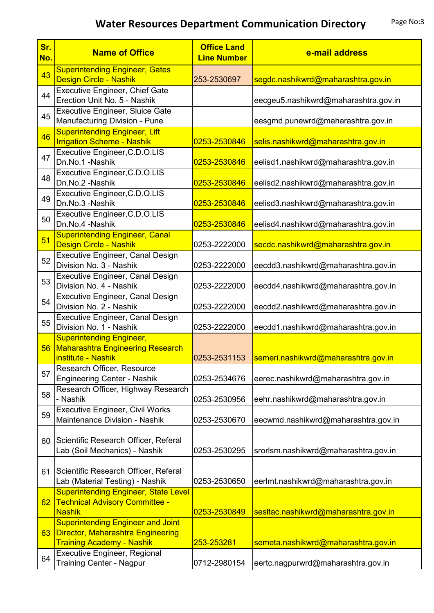| Sr.<br>No. | <b>Name of Office</b>                                                                                                    | <b>Office Land</b><br><b>Line Number</b> | e-mail address                       |
|------------|--------------------------------------------------------------------------------------------------------------------------|------------------------------------------|--------------------------------------|
| 43         | <b>Superintending Engineer, Gates</b><br>Design Circle - Nashik                                                          | 253-2530697                              | segdc.nashikwrd@maharashtra.gov.in   |
| 44         | <b>Executive Engineer, Chief Gate</b><br>Erection Unit No. 5 - Nashik                                                    |                                          | eecgeu5.nashikwrd@maharashtra.gov.in |
| 45         | <b>Executive Engineer, Sluice Gate</b><br>Manufacturing Division - Pune                                                  |                                          | eesgmd.punewrd@maharashtra.gov.in    |
| 46         | <b>Superintending Engineer, Lift</b><br><b>Irrigation Scheme - Nashik</b>                                                | 0253-2530846                             | selis.nashikwrd@maharashtra.gov.in   |
| 47         | Executive Engineer, C.D.O.LIS<br>Dn.No.1 -Nashik                                                                         | 0253-2530846                             | eelisd1.nashikwrd@maharashtra.gov.in |
| 48         | Executive Engineer, C.D.O.LIS<br>Dn.No.2 -Nashik                                                                         | 0253-2530846                             | eelisd2.nashikwrd@maharashtra.gov.in |
| 49         | Executive Engineer, C.D.O.LIS<br>Dn.No.3 -Nashik                                                                         | 0253-2530846                             | eelisd3.nashikwrd@maharashtra.gov.in |
| 50         | Executive Engineer, C.D.O.LIS<br>Dn.No.4 -Nashik                                                                         | 0253-2530846                             | eelisd4.nashikwrd@maharashtra.gov.in |
| 51         | <b>Superintending Engineer, Canal</b><br>Design Circle - Nashik                                                          | 0253-2222000                             | secdc.nashikwrd@maharashtra.gov.in   |
| 52         | <b>Executive Engineer, Canal Design</b><br>Division No. 3 - Nashik                                                       | 0253-2222000                             | eecdd3.nashikwrd@maharashtra.gov.in  |
| 53         | <b>Executive Engineer, Canal Design</b><br>Division No. 4 - Nashik                                                       | 0253-2222000                             | eecdd4.nashikwrd@maharashtra.gov.in  |
| 54         | Executive Engineer, Canal Design<br>Division No. 2 - Nashik                                                              | 0253-2222000                             | eecdd2.nashikwrd@maharashtra.gov.in  |
| 55         | Executive Engineer, Canal Design<br>Division No. 1 - Nashik                                                              | 0253-2222000                             | eecdd1.nashikwrd@maharashtra.gov.in  |
| 56         | <b>Superintending Engineer,</b><br><b>Maharashtra Engineering Research</b><br><b>institute - Nashik</b>                  | 0253-2531153                             | semeri.nashikwrd@maharashtra.gov.in  |
| 57         | Research Officer, Resource<br><b>Engineering Center - Nashik</b>                                                         | 0253-2534676                             | eerec.nashikwrd@maharashtra.gov.in   |
| 58         | Research Officer, Highway Research<br>- Nashik                                                                           | 0253-2530956                             | eehr.nashikwrd@maharashtra.gov.in    |
| 59         | <b>Executive Engineer, Civil Works</b><br>Maintenance Division - Nashik                                                  | 0253-2530670                             | eecwmd.nashikwrd@maharashtra.gov.in  |
| 60         | Scientific Research Officer, Referal<br>Lab (Soil Mechanics) - Nashik                                                    | 0253-2530295                             | srorlsm.nashikwrd@maharashtra.gov.in |
| 61         | Scientific Research Officer, Referal<br>Lab (Material Testing) - Nashik                                                  | 0253-2530650                             | eerlmt.nashikwrd@maharashtra.gov.in  |
| 62         | <b>Superintending Engineer, State Level</b><br><b>Technical Advisory Committee -</b><br><b>Nashik</b>                    | 0253-2530849                             | sesitac.nashikwrd@maharashtra.gov.in |
| 63         | <b>Superintending Engineer and Joint</b><br><b>Director, Maharashtra Engineering</b><br><b>Training Academy - Nashik</b> | 253-253281                               | semeta.nashikwrd@maharashtra.gov.in  |
| 64         | Executive Engineer, Regional<br><b>Training Center - Nagpur</b>                                                          | 0712-2980154                             | eertc.nagpurwrd@maharashtra.gov.in   |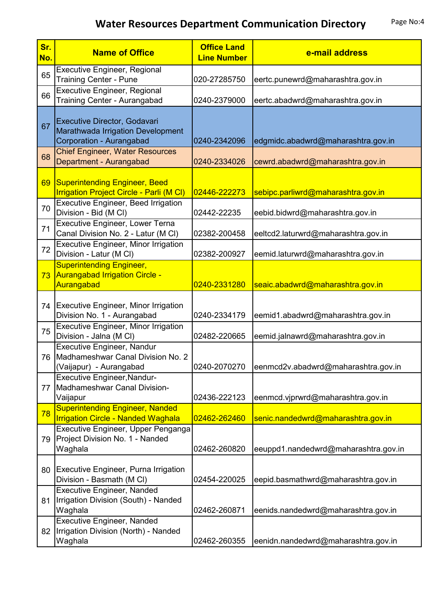| Sr.<br>No. | <b>Name of Office</b>                                                                           | <b>Office Land</b><br><b>Line Number</b> | e-mail address                       |
|------------|-------------------------------------------------------------------------------------------------|------------------------------------------|--------------------------------------|
| 65         | Executive Engineer, Regional<br><b>Training Center - Pune</b>                                   | 020-27285750                             | eertc.punewrd@maharashtra.gov.in     |
| 66         | <b>Executive Engineer, Regional</b><br>Training Center - Aurangabad                             | 0240-2379000                             | eertc.abadwrd@maharashtra.gov.in     |
| 67         | Executive Director, Godavari<br>Marathwada Irrigation Development<br>Corporation - Aurangabad   | 0240-2342096                             | edgmidc.abadwrd@maharashtra.gov.in   |
| 68         | <b>Chief Engineer, Water Resources</b><br>Department - Aurangabad                               | 0240-2334026                             | cewrd.abadwrd@maharashtra.gov.in     |
| 69         | Superintending Engineer, Beed<br><b>Irrigation Project Circle - Parli (M CI)</b>                | 02446-222273                             | sebipc.parliwrd@maharashtra.gov.in   |
| 70         | <b>Executive Engineer, Beed Irrigation</b><br>Division - Bid (M CI)                             | 02442-22235                              | eebid.bidwrd@maharashtra.gov.in      |
| 71         | Executive Engineer, Lower Terna<br>Canal Division No. 2 - Latur (M CI)                          | 02382-200458                             | eeltcd2.laturwrd@maharashtra.gov.in  |
| 72         | <b>Executive Engineer, Minor Irrigation</b><br>Division - Latur (M Cl)                          | 02382-200927                             | eemid.laturwrd@maharashtra.gov.in    |
| 73         | <b>Superintending Engineer,</b><br>Aurangabad Irrigation Circle -<br>Aurangabad                 | 0240-2331280                             | seaic.abadwrd@maharashtra.gov.in     |
| 74         | Executive Engineer, Minor Irrigation<br>Division No. 1 - Aurangabad                             | 0240-2334179                             | eemid1.abadwrd@maharashtra.gov.in    |
| 75         | <b>Executive Engineer, Minor Irrigation</b><br>Division - Jalna (M Cl)                          | 02482-220665                             | eemid.jalnawrd@maharashtra.gov.in    |
|            | Executive Engineer, Nandur<br>76   Madhameshwar Canal Division No. 2<br>(Vaijapur) - Aurangabad | 0240-2070270                             | eenmcd2v.abadwrd@maharashtra.gov.in  |
| 77         | <b>Executive Engineer, Nandur-</b><br>Madhameshwar Canal Division-<br>Vaijapur                  | 02436-222123                             | eenmcd.vjprwrd@maharashtra.gov.in    |
| 78         | <b>Superintending Engineer, Nanded</b><br><b>Irrigation Circle - Nanded Waghala</b>             | 02462-262460                             | senic.nandedwrd@maharashtra.gov.in   |
| 79         | Executive Engineer, Upper Penganga<br>Project Division No. 1 - Nanded<br>Waghala                | 02462-260820                             | eeuppd1.nandedwrd@maharashtra.gov.in |
| 80         | Executive Engineer, Purna Irrigation<br>Division - Basmath (M CI)                               | 02454-220025                             | eepid.basmathwrd@maharashtra.gov.in  |
| 81         | <b>Executive Engineer, Nanded</b><br>Irrigation Division (South) - Nanded<br>Waghala            | 02462-260871                             | eenids.nandedwrd@maharashtra.gov.in  |
| 82         | <b>Executive Engineer, Nanded</b><br>Irrigation Division (North) - Nanded<br>Waghala            | 02462-260355                             | eenidn.nandedwrd@maharashtra.gov.in  |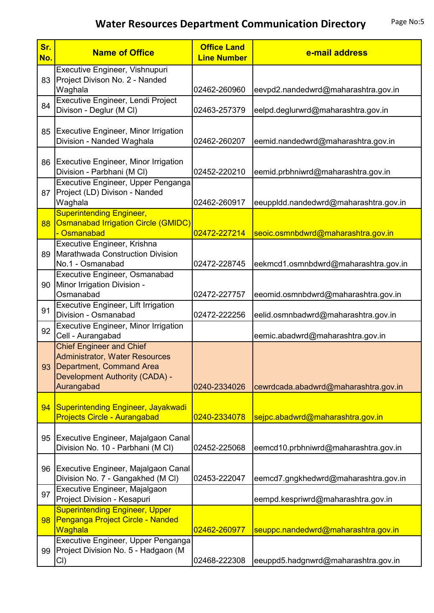| Sr.<br>No. | <b>Name of Office</b>                                                                                                                                | <b>Office Land</b><br><b>Line Number</b> | e-mail address                        |
|------------|------------------------------------------------------------------------------------------------------------------------------------------------------|------------------------------------------|---------------------------------------|
| 83         | Executive Engineer, Vishnupuri<br>Project Divison No. 2 - Nanded<br>Waghala                                                                          | 02462-260960                             | eevpd2.nandedwrd@maharashtra.gov.in   |
| 84         | Executive Engineer, Lendi Project<br>Divison - Deglur (M Cl)                                                                                         | 02463-257379                             | eelpd.deglurwrd@maharashtra.gov.in    |
| 85         | <b>Executive Engineer, Minor Irrigation</b><br>Division - Nanded Waghala                                                                             | 02462-260207                             | eemid.nandedwrd@maharashtra.gov.in    |
| 86         | Executive Engineer, Minor Irrigation<br>Division - Parbhani (M CI)                                                                                   | 02452-220210                             | eemid.prbhniwrd@maharashtra.gov.in    |
| 87         | Executive Engineer, Upper Penganga<br>Project (LD) Divison - Nanded<br>Waghala                                                                       | 02462-260917                             | eeuppldd.nandedwrd@maharashtra.gov.in |
| 88         | <b>Superintending Engineer,</b><br><b>Osmanabad Irrigation Circle (GMIDC)</b><br>- Osmanabad                                                         | 02472-227214                             | seoic.osmnbdwrd@maharashtra.gov.in    |
| 89         | Executive Engineer, Krishna<br>Marathwada Construction Division<br>No.1 - Osmanabad                                                                  | 02472-228745                             | eekmcd1.osmnbdwrd@maharashtra.gov.in  |
| 90         | Executive Engineer, Osmanabad<br>Minor Irrigation Division -<br>Osmanabad                                                                            | 02472-227757                             | eeomid.osmnbdwrd@maharashtra.gov.in   |
| 91         | Executive Engineer, Lift Irrigation<br>Division - Osmanabad                                                                                          | 02472-222256                             | eelid.osmnbadwrd@maharashtra.gov.in   |
| 92         | <b>Executive Engineer, Minor Irrigation</b><br>Cell - Aurangabad                                                                                     |                                          | eemic.abadwrd@maharashtra.gov.in      |
| 93         | <b>Chief Engineer and Chief</b><br><b>Administrator, Water Resources</b><br>Department, Command Area<br>Development Authority (CADA) -<br>Aurangabad | 0240-2334026                             | cewrdcada.abadwrd@maharashtra.gov.in  |
| 94         | Superintending Engineer, Jayakwadi<br><b>Projects Circle - Aurangabad</b>                                                                            | 0240-2334078                             | sejpc.abadwrd@maharashtra.gov.in      |
| 95         | Executive Engineer, Majalgaon Canal<br>Division No. 10 - Parbhani (M CI)                                                                             | 02452-225068                             | eemcd10.prbhniwrd@maharashtra.gov.in  |
| 96         | Executive Engineer, Majalgaon Canal<br>Division No. 7 - Gangakhed (M CI)                                                                             | 02453-222047                             | eemcd7.gngkhedwrd@maharashtra.gov.in  |
| 97         | Executive Engineer, Majalgaon<br>Project Division - Kesapuri                                                                                         |                                          | eempd.kespriwrd@maharashtra.gov.in    |
| 98         | <b>Superintending Engineer, Upper</b><br>Penganga Project Circle - Nanded<br><b>Waghala</b>                                                          | 02462-260977                             | seuppc.nandedwrd@maharashtra.gov.in   |
| 99         | Executive Engineer, Upper Penganga<br>Project Division No. 5 - Hadgaon (M<br>CI)                                                                     | 02468-222308                             | eeuppd5.hadgnwrd@maharashtra.gov.in   |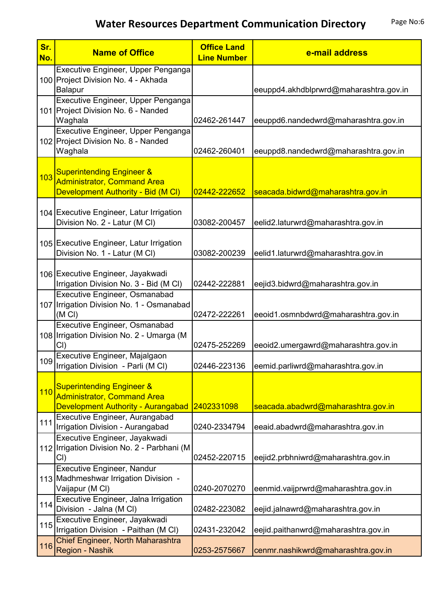| Sr.<br>No. | <b>Name of Office</b>                                                                                            | <b>Office Land</b><br><b>Line Number</b> | e-mail address                         |
|------------|------------------------------------------------------------------------------------------------------------------|------------------------------------------|----------------------------------------|
|            | Executive Engineer, Upper Penganga<br>100 Project Division No. 4 - Akhada<br>Balapur                             |                                          | eeuppd4.akhdblprwrd@maharashtra.gov.in |
|            | Executive Engineer, Upper Penganga<br>101 Project Division No. 6 - Nanded<br>Waghala                             | 02462-261447                             | eeuppd6.nandedwrd@maharashtra.gov.in   |
|            | Executive Engineer, Upper Penganga<br>102 Project Division No. 8 - Nanded<br>Waghala                             | 02462-260401                             | eeuppd8.nandedwrd@maharashtra.gov.in   |
| 103        | <b>Superintending Engineer &amp;</b><br><b>Administrator, Command Area</b><br>Development Authority - Bid (M CI) | 02442-222652                             | seacada.bidwrd@maharashtra.gov.in      |
|            | 104 Executive Engineer, Latur Irrigation<br>Division No. 2 - Latur (M CI)                                        | 03082-200457                             | eelid2.laturwrd@maharashtra.gov.in     |
|            | 105 Executive Engineer, Latur Irrigation<br>Division No. 1 - Latur (M CI)                                        | 03082-200239                             | eelid1.laturwrd@maharashtra.gov.in     |
|            | 106 Executive Engineer, Jayakwadi<br>Irrigation Division No. 3 - Bid (M CI)                                      | 02442-222881                             | eejid3.bidwrd@maharashtra.gov.in       |
|            | Executive Engineer, Osmanabad<br>107 Irrigation Division No. 1 - Osmanabad<br>(M <sub>C</sub> )                  | 02472-222261                             | eeoid1.osmnbdwrd@maharashtra.gov.in    |
|            | Executive Engineer, Osmanabad<br>108   Irrigation Division No. 2 - Umarga (M<br>Cl                               | 02475-252269                             | eeoid2.umergawrd@maharashtra.gov.in    |
| 109        | Executive Engineer, Majalgaon<br>Irrigation Division - Parli (M CI)                                              | 02446-223136                             | eemid.parliwrd@maharashtra.gov.in      |
| 110        | <b>Superintending Engineer &amp;</b><br><b>Administrator, Command Area</b><br>Development Authority - Aurangabad | 2402331098                               | seacada.abadwrd@maharashtra.gov.in     |
| 111        | Executive Engineer, Aurangabad<br>Irrigation Division - Aurangabad                                               | 0240-2334794                             | eeaid.abadwrd@maharashtra.gov.in       |
|            | Executive Engineer, Jayakwadi<br>112 Irrigation Division No. 2 - Parbhani (M<br>CI)                              | 02452-220715                             | eejid2.prbhniwrd@maharashtra.gov.in    |
|            | <b>Executive Engineer, Nandur</b><br>113 Madhmeshwar Irrigation Division -<br>Vaijapur (M CI)                    | 0240-2070270                             | eenmid.vaijprwrd@maharashtra.gov.in    |
| 114        | Executive Engineer, Jalna Irrigation<br>Division - Jalna (M Cl)                                                  | 02482-223082                             | eejid.jalnawrd@maharashtra.gov.in      |
| 115        | Executive Engineer, Jayakwadi<br>Irrigation Division - Paithan (M CI)                                            | 02431-232042                             | eejid.paithanwrd@maharashtra.gov.in    |
| 116        | Chief Engineer, North Maharashtra<br>Region - Nashik                                                             | 0253-2575667                             | cenmr.nashikwrd@maharashtra.gov.in     |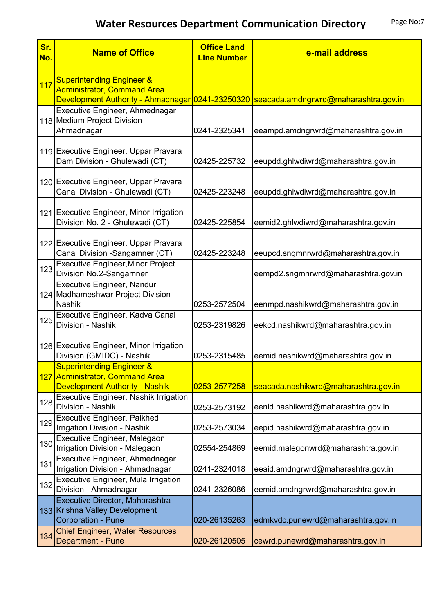| Sr.<br>No. | <b>Name of Office</b>                                                                     | <b>Office Land</b><br><b>Line Number</b> | e-mail address                                                                        |
|------------|-------------------------------------------------------------------------------------------|------------------------------------------|---------------------------------------------------------------------------------------|
| 117        | <b>Superintending Engineer &amp;</b><br><b>Administrator, Command Area</b>                |                                          | Development Authority - Ahmadnagar 0241-23250320 seacada.amdngrwrd@maharashtra.gov.in |
|            | Executive Engineer, Ahmednagar<br>118 Medium Project Division -<br>Ahmadnagar             | 0241-2325341                             | eeampd.amdngrwrd@maharashtra.gov.in                                                   |
|            | 119 Executive Engineer, Uppar Pravara<br>Dam Division - Ghulewadi (CT)                    | 02425-225732                             | eeupdd.ghlwdiwrd@maharashtra.gov.in                                                   |
|            | 120 Executive Engineer, Uppar Pravara<br>Canal Division - Ghulewadi (CT)                  | 02425-223248                             | eeupdd.ghlwdiwrd@maharashtra.gov.in                                                   |
|            | 121 Executive Engineer, Minor Irrigation<br>Division No. 2 - Ghulewadi (CT)               | 02425-225854                             | eemid2.ghlwdiwrd@maharashtra.gov.in                                                   |
|            | 122 Executive Engineer, Uppar Pravara<br>Canal Division -Sangamner (CT)                   | 02425-223248                             | eeupcd.sngmnrwrd@maharashtra.gov.in                                                   |
| 123        | <b>Executive Engineer, Minor Project</b><br>Division No.2-Sangamner                       |                                          | eempd2.sngmnrwrd@maharashtra.gov.in                                                   |
|            | <b>Executive Engineer, Nandur</b><br>124 Madhameshwar Project Division -<br><b>Nashik</b> | 0253-2572504                             | eenmpd.nashikwrd@maharashtra.gov.in                                                   |
| 125        | Executive Engineer, Kadva Canal<br>Division - Nashik                                      | 0253-2319826                             | eekcd.nashikwrd@maharashtra.gov.in                                                    |
|            | 126 Executive Engineer, Minor Irrigation<br>Division (GMIDC) - Nashik                     | 0253-2315485                             | eemid.nashikwrd@maharashtra.gov.in                                                    |
|            | <b>Superintending Engineer &amp;</b><br>127 Administrator, Command Area                   |                                          |                                                                                       |
|            | <b>Development Authority - Nashik</b>                                                     | 0253-2577258                             | seacada.nashikwrd@maharashtra.gov.in                                                  |
| 128        | <b>Executive Engineer, Nashik Irrigation</b><br>Division - Nashik                         | 0253-2573192                             | eenid.nashikwrd@maharashtra.gov.in                                                    |
| 129        | <b>Executive Engineer, Palkhed</b><br>Irrigation Division - Nashik                        | 0253-2573034                             | eepid.nashikwrd@maharashtra.gov.in                                                    |
| 130        | Executive Engineer, Malegaon<br>Irrigation Division - Malegaon                            | 02554-254869                             | eemid.malegonwrd@maharashtra.gov.in                                                   |
| 131        | Executive Engineer, Ahmednagar<br>Irrigation Division - Ahmadnagar                        | 0241-2324018                             | eeaid.amdngrwrd@maharashtra.gov.in                                                    |
| 132        | Executive Engineer, Mula Irrigation<br>Division - Ahmadnagar                              | 0241-2326086                             | eemid.amdngrwrd@maharashtra.gov.in                                                    |
|            | Executive Director, Maharashtra<br>133 Krishna Valley Development                         |                                          |                                                                                       |
|            | <b>Corporation - Pune</b><br><b>Chief Engineer, Water Resources</b>                       | 020-26135263                             | edmkvdc.punewrd@maharashtra.gov.in                                                    |
| 134        | Department - Pune                                                                         | 020-26120505                             | cewrd.punewrd@maharashtra.gov.in                                                      |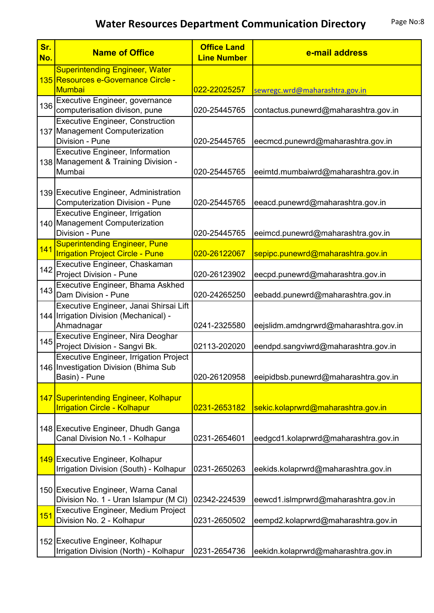| Sr.<br>No. | <b>Name of Office</b>                                                                                   | <b>Office Land</b><br><b>Line Number</b> | e-mail address                        |
|------------|---------------------------------------------------------------------------------------------------------|------------------------------------------|---------------------------------------|
|            | <b>Superintending Engineer, Water</b><br>135 Resources e-Governance Circle -<br><b>Mumbai</b>           | 022-22025257                             | sewregc.wrd@maharashtra.gov.in        |
| 136        | Executive Engineer, governance<br>computerisation divison, pune                                         | 020-25445765                             | contactus.punewrd@maharashtra.gov.in  |
|            | <b>Executive Engineer, Construction</b><br>137 Management Computerization<br>Division - Pune            | 020-25445765                             | eecmcd.punewrd@maharashtra.gov.in     |
|            | <b>Executive Engineer, Information</b><br>138 Management & Training Division -<br>Mumbai                | 020-25445765                             | eeimtd.mumbaiwrd@maharashtra.gov.in   |
|            | 139 Executive Engineer, Administration<br>Computerization Division - Pune                               | 020-25445765                             | eeacd.punewrd@maharashtra.gov.in      |
|            | <b>Executive Engineer, Irrigation</b><br>140 Management Computerization<br>Division - Pune              | 020-25445765                             | eeimcd.punewrd@maharashtra.gov.in     |
| 141        | <b>Superintending Engineer, Pune</b><br><b>Irrigation Project Circle - Pune</b>                         | 020-26122067                             | sepipc.punewrd@maharashtra.gov.in     |
| 142        | Executive Engineer, Chaskaman<br>Project Division - Pune                                                | 020-26123902                             | eecpd.punewrd@maharashtra.gov.in      |
| 143        | Executive Engineer, Bhama Askhed<br>Dam Division - Pune                                                 | 020-24265250                             | eebadd.punewrd@maharashtra.gov.in     |
|            | Executive Engineer, Janai Shirsai Lift<br>144 Irrigation Division (Mechanical) -<br>Ahmadnagar          | 0241-2325580                             | eejslidm.amdngrwrd@maharashtra.gov.in |
| 145        | Executive Engineer, Nira Deoghar<br>Project Division - Sangvi Bk.                                       | 02113-202020                             | eendpd.sangviwrd@maharashtra.gov.in   |
|            | <b>Executive Engineer, Irrigation Project</b><br>146 Investigation Division (Bhima Sub<br>Basin) - Pune | 020-26120958                             | eeipidbsb.punewrd@maharashtra.gov.in  |
|            | 147 Superintending Engineer, Kolhapur<br><b>Irrigation Circle - Kolhapur</b>                            | 0231-2653182                             | sekic.kolaprwrd@maharashtra.gov.in    |
|            | 148 Executive Engineer, Dhudh Ganga<br>Canal Division No.1 - Kolhapur                                   | 0231-2654601                             | eedgcd1.kolaprwrd@maharashtra.gov.in  |
|            | 149 Executive Engineer, Kolhapur<br>Irrigation Division (South) - Kolhapur                              | 0231-2650263                             | eekids.kolaprwrd@maharashtra.gov.in   |
|            | 150 Executive Engineer, Warna Canal<br>Division No. 1 - Uran Islampur (M CI)                            | 02342-224539                             | eewcd1.islmprwrd@maharashtra.gov.in   |
| 151        | Executive Engineer, Medium Project<br>Division No. 2 - Kolhapur                                         | 0231-2650502                             | eempd2.kolaprwrd@maharashtra.gov.in   |
|            | 152 Executive Engineer, Kolhapur<br>Irrigation Division (North) - Kolhapur                              | 0231-2654736                             | eekidn.kolaprwrd@maharashtra.gov.in   |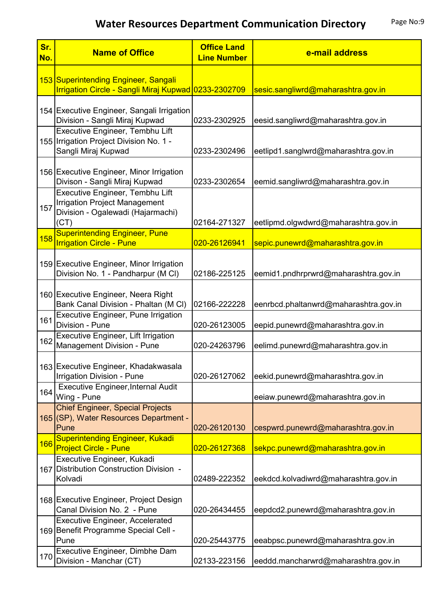| Sr.<br>No. | <b>Name of Office</b>                                                                                                | <b>Office Land</b><br><b>Line Number</b> | e-mail address                        |
|------------|----------------------------------------------------------------------------------------------------------------------|------------------------------------------|---------------------------------------|
|            | 153 Superintending Engineer, Sangali<br>Irrigation Circle - Sangli Miraj Kupwad 0233-2302709                         |                                          | sesic.sangliwrd@maharashtra.gov.in    |
|            | 154 Executive Engineer, Sangali Irrigation<br>Division - Sangli Miraj Kupwad                                         | 0233-2302925                             | eesid.sangliwrd@maharashtra.gov.in    |
|            | Executive Engineer, Tembhu Lift<br>155 Irrigation Project Division No. 1 -<br>Sangli Miraj Kupwad                    | 0233-2302496                             | eetlipd1.sanglwrd@maharashtra.gov.in  |
|            | 156 Executive Engineer, Minor Irrigation<br>Divison - Sangli Miraj Kupwad                                            | 0233-2302654                             | eemid.sangliwrd@maharashtra.gov.in    |
| 157        | Executive Engineer, Tembhu Lift<br><b>Irrigation Project Management</b><br>Division - Ogalewadi (Hajarmachi)<br>(CT) | 02164-271327                             | eetlipmd.olgwdwrd@maharashtra.gov.in  |
| 158        | <b>Superintending Engineer, Pune</b><br><b>Irrigation Circle - Pune</b>                                              | 020-26126941                             | sepic.punewrd@maharashtra.gov.in      |
|            | 159 Executive Engineer, Minor Irrigation<br>Division No. 1 - Pandharpur (M CI)                                       | 02186-225125                             | eemid1.pndhrprwrd@maharashtra.gov.in  |
|            | 160 Executive Engineer, Neera Right<br>Bank Canal Division - Phaltan (M CI)                                          | 02166-222228                             | eenrbcd.phaltanwrd@maharashtra.gov.in |
| 161        | <b>Executive Engineer, Pune Irrigation</b><br>Division - Pune                                                        | 020-26123005                             | eepid.punewrd@maharashtra.gov.in      |
| 162        | <b>Executive Engineer, Lift Irrigation</b><br>Management Division - Pune                                             | 020-24263796                             | eelimd.punewrd@maharashtra.gov.in     |
|            | 163 Executive Engineer, Khadakwasala<br><b>Irrigation Division - Pune</b>                                            | 020-26127062                             | eekid.punewrd@maharashtra.gov.in      |
| 164        | <b>Executive Engineer, Internal Audit</b><br>Wing - Pune                                                             |                                          | eeiaw.punewrd@maharashtra.gov.in      |
|            | <b>Chief Engineer, Special Projects</b><br>165 (SP), Water Resources Department -<br>Pune                            | 020-26120130                             | cespwrd.punewrd@maharashtra.gov.in    |
| 166        | <b>Superintending Engineer, Kukadi</b><br><b>Project Circle - Pune</b>                                               | 020-26127368                             | sekpc.punewrd@maharashtra.gov.in      |
|            | Executive Engineer, Kukadi<br>167 Distribution Construction Division -<br>Kolvadi                                    | 02489-222352                             | eekdcd.kolvadiwrd@maharashtra.gov.in  |
|            | 168 Executive Engineer, Project Design<br>Canal Division No. 2 - Pune                                                | 020-26434455                             | eepdcd2.punewrd@maharashtra.gov.in    |
|            | <b>Executive Engineer, Accelerated</b><br>169 Benefit Programme Special Cell -<br>Pune                               | 020-25443775                             | eeabpsc.punewrd@maharashtra.gov.in    |
| 170        | Executive Engineer, Dimbhe Dam<br>Division - Manchar (CT)                                                            | 02133-223156                             | eeddd.mancharwrd@maharashtra.gov.in   |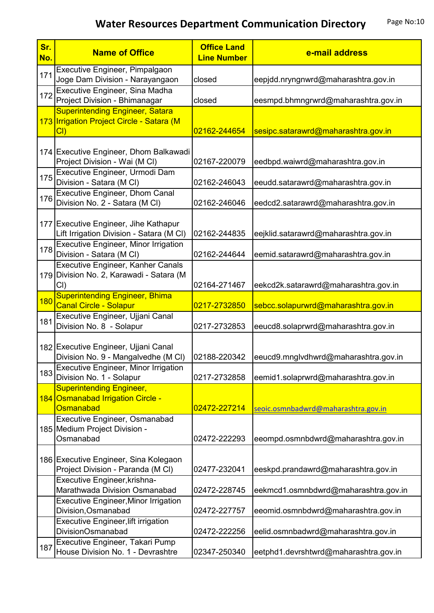| Sr.<br>No. | <b>Name of Office</b>                                                                      | <b>Office Land</b><br><b>Line Number</b> | e-mail address                        |
|------------|--------------------------------------------------------------------------------------------|------------------------------------------|---------------------------------------|
| 171        | Executive Engineer, Pimpalgaon<br>Joge Dam Division - Narayangaon                          | closed                                   | eepjdd.nryngnwrd@maharashtra.gov.in   |
| 172        | Executive Engineer, Sina Madha<br>Project Division - Bhimanagar                            | closed                                   | eesmpd.bhmngrwrd@maharashtra.gov.in   |
|            | <b>Superintending Engineer, Satara</b><br>173 Irrigation Project Circle - Satara (M<br>Cl  | 02162-244654                             | sesipc.satarawrd@maharashtra.gov.in   |
|            | 174 Executive Engineer, Dhom Balkawadi<br>Project Division - Wai (M CI)                    | 02167-220079                             | eedbpd.waiwrd@maharashtra.gov.in      |
| 175        | Executive Engineer, Urmodi Dam<br>Division - Satara (M CI)                                 | 02162-246043                             | eeudd.satarawrd@maharashtra.gov.in    |
| 176        | <b>Executive Engineer, Dhom Canal</b><br>Division No. 2 - Satara (M CI)                    | 02162-246046                             | eedcd2.satarawrd@maharashtra.gov.in   |
|            | 177 Executive Engineer, Jihe Kathapur<br>Lift Irrigation Division - Satara (M CI)          | 02162-244835                             | eejklid.satarawrd@maharashtra.gov.in  |
| 178        | <b>Executive Engineer, Minor Irrigation</b><br>Division - Satara (M Cl)                    | 02162-244644                             | eemid.satarawrd@maharashtra.gov.in    |
|            | <b>Executive Engineer, Kanher Canals</b><br>179 Division No. 2, Karawadi - Satara (M<br>CI | 02164-271467                             | eekcd2k.satarawrd@maharashtra.gov.in  |
| 180        | <b>Superintending Engineer, Bhima</b><br><b>Canal Circle - Solapur</b>                     | 0217-2732850                             | sebcc.solapurwrd@maharashtra.gov.in   |
| 181        | Executive Engineer, Ujjani Canal<br>Division No. 8 - Solapur                               | 0217-2732853                             | eeucd8.solaprwrd@maharashtra.gov.in   |
|            | 182 Executive Engineer, Ujjani Canal<br>Division No. 9 - Mangalvedhe (M CI)                | 02188-220342                             | eeucd9.mnglvdhwrd@maharashtra.gov.in  |
| 183        | <b>Executive Engineer, Minor Irrigation</b><br>Division No. 1 - Solapur                    | 0217-2732858                             | eemid1.solaprwrd@maharashtra.gov.in   |
|            | <b>Superintending Engineer,</b><br>184 Osmanabad Irrigation Circle -<br>Osmanabad          | 02472-227214                             | seoic.osmnbadwrd@maharashtra.gov.in   |
|            | Executive Engineer, Osmanabad<br>185 Medium Project Division -<br>Osmanabad                | 02472-222293                             | eeompd.osmnbdwrd@maharashtra.gov.in   |
|            | 186 Executive Engineer, Sina Kolegaon<br>Project Division - Paranda (M CI)                 | 02477-232041                             | eeskpd.prandawrd@maharashtra.gov.in   |
|            | Executive Engineer, krishna-<br>Marathwada Division Osmanabad                              | 02472-228745                             | eekmcd1.osmnbdwrd@maharashtra.gov.in  |
|            | <b>Executive Engineer, Minor Irrigation</b><br>Division, Osmanabad                         | 02472-227757                             | eeomid.osmnbdwrd@maharashtra.gov.in   |
|            | <b>Executive Engineer, lift irrigation</b><br><b>DivisionOsmanabad</b>                     | 02472-222256                             | eelid.osmnbadwrd@maharashtra.gov.in   |
| 187        | Executive Engineer, Takari Pump<br>House Division No. 1 - Devrashtre                       | 02347-250340                             | eetphd1.devrshtwrd@maharashtra.gov.in |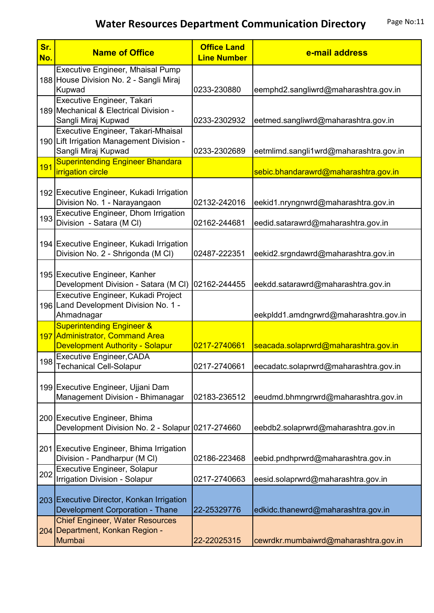| Sr.<br>No. | <b>Name of Office</b>                                                                                             | <b>Office Land</b><br><b>Line Number</b> | e-mail address                         |
|------------|-------------------------------------------------------------------------------------------------------------------|------------------------------------------|----------------------------------------|
|            | Executive Engineer, Mhaisal Pump<br>188 House Division No. 2 - Sangli Miraj<br>Kupwad                             | 0233-230880                              | eemphd2.sangliwrd@maharashtra.gov.in   |
|            | Executive Engineer, Takari<br>189 Mechanical & Electrical Division -<br>Sangli Miraj Kupwad                       | 0233-2302932                             | eetmed.sangliwrd@maharashtra.gov.in    |
|            | Executive Engineer, Takari-Mhaisal<br>190 Lift Irrigation Management Division -<br>Sangli Miraj Kupwad            | 0233-2302689                             | eetmlimd.sangli1wrd@maharashtra.gov.in |
| 191        | <b>Superintending Engineer Bhandara</b><br><i>irrigation circle</i>                                               |                                          | sebic.bhandarawrd@maharashtra.gov.in   |
|            | 192 Executive Engineer, Kukadi Irrigation<br>Division No. 1 - Narayangaon                                         | 02132-242016                             | eekid1.nryngnwrd@maharashtra.gov.in    |
| 193        | <b>Executive Engineer, Dhom Irrigation</b><br>Division - Satara (M CI)                                            | 02162-244681                             | eedid.satarawrd@maharashtra.gov.in     |
|            | 194 Executive Engineer, Kukadi Irrigation<br>Division No. 2 - Shrigonda (M CI)                                    | 02487-222351                             | eekid2.srgndawrd@maharashtra.gov.in    |
|            | 195 Executive Engineer, Kanher<br>Development Division - Satara (M CI) 02162-244455                               |                                          | eekdd.satarawrd@maharashtra.gov.in     |
|            | Executive Engineer, Kukadi Project<br>196 Land Development Division No. 1 -<br>Ahmadnagar                         |                                          | eekpldd1.amdngrwrd@maharashtra.gov.in  |
|            | <b>Superintending Engineer &amp;</b><br>197 Administrator, Command Area<br><b>Development Authority - Solapur</b> | 0217-2740661                             | seacada.solaprwrd@maharashtra.gov.in   |
|            | <b>Executive Engineer, CADA</b><br>198 Techanical Cell-Solapur                                                    | 0217-2740661                             | eecadatc.solaprwrd@maharashtra.gov.in  |
|            | 199 Executive Engineer, Ujjani Dam<br>Management Division - Bhimanagar                                            | 02183-236512                             | eeudmd.bhmngrwrd@maharashtra.gov.in    |
|            | 200 Executive Engineer, Bhima<br>Development Division No. 2 - Solapur 0217-274660                                 |                                          | eebdb2.solaprwrd@maharashtra.gov.in    |
|            | 201 Executive Engineer, Bhima Irrigation<br>Division - Pandharpur (M Cl)                                          | 02186-223468                             | eebid.pndhprwrd@maharashtra.gov.in     |
| 202        | <b>Executive Engineer, Solapur</b><br>Irrigation Division - Solapur                                               | 0217-2740663                             | eesid.solaprwrd@maharashtra.gov.in     |
|            | 203 Executive Director, Konkan Irrigation<br>Development Corporation - Thane                                      | 22-25329776                              | edkidc.thanewrd@maharashtra.gov.in     |
|            | <b>Chief Engineer, Water Resources</b><br>204 Department, Konkan Region -<br>Mumbai                               | 22-22025315                              | cewrdkr.mumbaiwrd@maharashtra.gov.in   |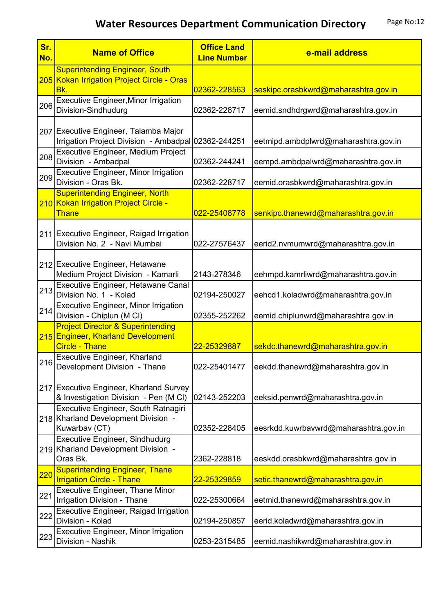| Sr.<br>No. | <b>Name of Office</b>                                                                                       | <b>Office Land</b><br><b>Line Number</b> | e-mail address                        |
|------------|-------------------------------------------------------------------------------------------------------------|------------------------------------------|---------------------------------------|
|            | <b>Superintending Engineer, South</b><br>205 Kokan Irrigation Project Circle - Oras<br>Bk.                  | 02362-228563                             | seskipc.orasbkwrd@maharashtra.gov.in  |
| 206        | <b>Executive Engineer, Minor Irrigation</b><br>Division-Sindhudurg                                          | 02362-228717                             | eemid.sndhdrgwrd@maharashtra.gov.in   |
|            | 207 Executive Engineer, Talamba Major<br>Irrigation Project Division - Ambadpal 02362-244251                |                                          | eetmipd.ambdplwrd@maharashtra.gov.in  |
| 208        | Executive Engineer, Medium Project<br>Division - Ambadpal                                                   | 02362-244241                             | eempd.ambdpalwrd@maharashtra.gov.in   |
| 209        | Executive Engineer, Minor Irrigation<br>Division - Oras Bk.                                                 | 02362-228717                             | eemid.orasbkwrd@maharashtra.gov.in    |
|            | <b>Superintending Engineer, North</b><br>210 Kokan Irrigation Project Circle -<br><b>Thane</b>              | 022-25408778                             | senkipc.thanewrd@maharashtra.gov.in   |
|            | 211 Executive Engineer, Raigad Irrigation<br>Division No. 2 - Navi Mumbai                                   | 022-27576437                             | eerid2.nvmumwrd@maharashtra.gov.in    |
|            | 212 Executive Engineer, Hetawane<br>Medium Project Division - Kamarli                                       | 2143-278346                              | eehmpd.kamrliwrd@maharashtra.gov.in   |
| 213        | Executive Engineer, Hetawane Canal<br>Division No. 1 - Kolad                                                | 02194-250027                             | eehcd1.koladwrd@maharashtra.gov.in    |
| 214        | <b>Executive Engineer, Minor Irrigation</b><br>Division - Chiplun (M Cl)                                    | 02355-252262                             | eemid.chiplunwrd@maharashtra.gov.in   |
|            | <b>Project Director &amp; Superintending</b><br>215 Engineer, Kharland Development<br><b>Circle - Thane</b> | 22-25329887                              | sekdc.thanewrd@maharashtra.gov.in     |
| 216        | Executive Engineer, Kharland<br>Development Division - Thane                                                | 022-25401477                             | eekdd.thanewrd@maharashtra.gov.in     |
|            | 217 Executive Engineer, Kharland Survey<br>& Investigation Division - Pen (M CI)                            | 02143-252203                             | eeksid.penwrd@maharashtra.gov.in      |
|            | Executive Engineer, South Ratnagiri<br>218 Kharland Development Division -<br>Kuwarbav (CT)                 | 02352-228405                             | eesrkdd.kuwrbavwrd@maharashtra.gov.in |
|            | <b>Executive Engineer, Sindhudurg</b><br>219 Kharland Development Division -<br>Oras Bk.                    | 2362-228818                              | eeskdd.orasbkwrd@maharashtra.gov.in   |
| 220        | <b>Superintending Engineer, Thane</b><br><b>Irrigation Circle - Thane</b>                                   | 22-25329859                              | setic.thanewrd@maharashtra.gov.in     |
| 221        | <b>Executive Engineer, Thane Minor</b><br>Irrigation Division - Thane                                       | 022-25300664                             | eetmid.thanewrd@maharashtra.gov.in    |
| 222        | Executive Engineer, Raigad Irrigation<br>Division - Kolad                                                   | 02194-250857                             | eerid.koladwrd@maharashtra.gov.in     |
| 223        | <b>Executive Engineer, Minor Irrigation</b><br>Division - Nashik                                            | 0253-2315485                             | eemid.nashikwrd@maharashtra.gov.in    |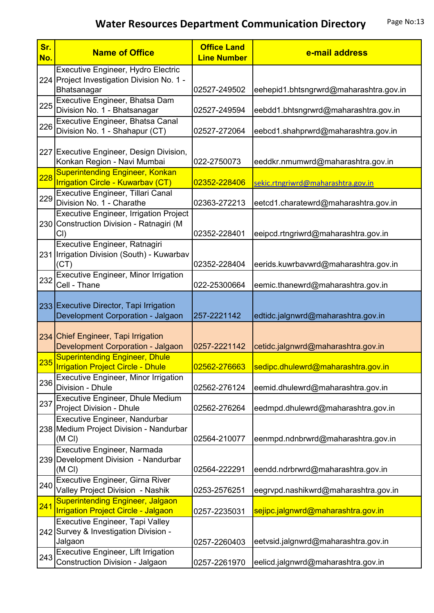| Sr.<br>No. | <b>Name of Office</b>                                                                            | <b>Office Land</b><br><b>Line Number</b> | e-mail address                         |
|------------|--------------------------------------------------------------------------------------------------|------------------------------------------|----------------------------------------|
|            | Executive Engineer, Hydro Electric<br>224 Project Investigation Division No. 1 -<br>Bhatsanagar  | 02527-249502                             | eehepid1.bhtsngrwrd@maharashtra.gov.in |
| 225        | Executive Engineer, Bhatsa Dam<br>Division No. 1 - Bhatsanagar                                   | 02527-249594                             | eebdd1.bhtsngrwrd@maharashtra.gov.in   |
| 226        | Executive Engineer, Bhatsa Canal<br>Division No. 1 - Shahapur (CT)                               | 02527-272064                             | eebcd1.shahprwrd@maharashtra.gov.in    |
|            | 227 Executive Engineer, Design Division,<br>Konkan Region - Navi Mumbai                          | 022-2750073                              | eeddkr.nmumwrd@maharashtra.gov.in      |
| <b>228</b> | <b>Superintending Engineer, Konkan</b><br><b>Irrigation Circle - Kuwarbav (CT)</b>               | 02352-228406                             | sekic.rtngriwrd@maharashtra.gov.in     |
| 229        | Executive Engineer, Tillari Canal<br>Division No. 1 - Charathe                                   | 02363-272213                             | eetcd1.charatewrd@maharashtra.gov.in   |
|            | <b>Executive Engineer, Irrigation Project</b><br>230 Construction Division - Ratnagiri (M<br>CI) | 02352-228401                             | eeipcd.rtngriwrd@maharashtra.gov.in    |
|            | Executive Engineer, Ratnagiri<br>231 Irrigation Division (South) - Kuwarbav<br>(CT)              | 02352-228404                             | eerids.kuwrbavwrd@maharashtra.gov.in   |
| 232        | <b>Executive Engineer, Minor Irrigation</b><br>Cell - Thane                                      | 022-25300664                             | eemic.thanewrd@maharashtra.gov.in      |
|            | 233 Executive Director, Tapi Irrigation<br>Development Corporation - Jalgaon                     | 257-2221142                              | edtidc.jalgnwrd@maharashtra.gov.in     |
|            | 234 Chief Engineer, Tapi Irrigation<br>Development Corporation - Jalgaon                         | 0257-2221142                             | cetidc.jalgnwrd@maharashtra.gov.in     |
| 235        | <b>Superintending Engineer, Dhule</b><br><b>Irrigation Project Circle - Dhule</b>                | 02562-276663                             | sedipc.dhulewrd@maharashtra.gov.in     |
| 236        | <b>Executive Engineer, Minor Irrigation</b><br>Division - Dhule                                  | 02562-276124                             | eemid.dhulewrd@maharashtra.gov.in      |
| 237        | Executive Engineer, Dhule Medium<br>Project Division - Dhule                                     | 02562-276264                             | eedmpd.dhulewrd@maharashtra.gov.in     |
|            | Executive Engineer, Nandurbar<br>238 Medium Project Division - Nandurbar<br>(M <sub>C</sub> )    | 02564-210077                             | eenmpd.ndnbrwrd@maharashtra.gov.in     |
|            | Executive Engineer, Narmada<br>239 Development Division - Nandurbar<br>(M <sub>C</sub> )         | 02564-222291                             | eendd.ndrbrwrd@maharashtra.gov.in      |
| 240        | Executive Engineer, Girna River<br>Valley Project Division - Nashik                              | 0253-2576251                             | eegrvpd.nashikwrd@maharashtra.gov.in   |
| 241        | <b>Superintending Engineer, Jalgaon</b><br><b>Irrigation Project Circle - Jalgaon</b>            | 0257-2235031                             | sejipc.jalgnwrd@maharashtra.gov.in     |
|            | <b>Executive Engineer, Tapi Valley</b><br>242 Survey & Investigation Division -<br>Jalgaon       | 0257-2260403                             | eetvsid.jalgnwrd@maharashtra.gov.in    |
| 243        | Executive Engineer, Lift Irrigation<br>Construction Division - Jalgaon                           | 0257-2261970                             | eelicd.jalgnwrd@maharashtra.gov.in     |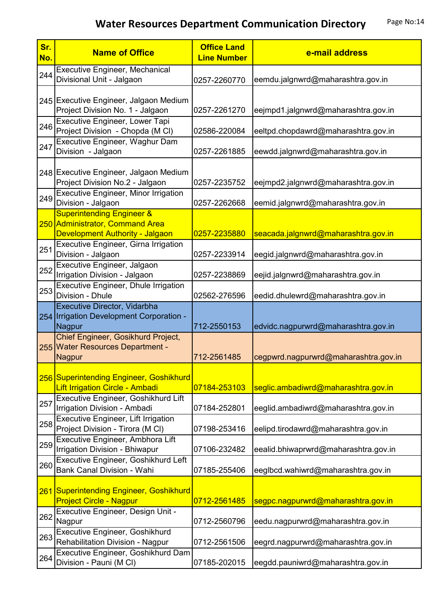| Sr.<br>No. | <b>Name of Office</b>                                                                                      | <b>Office Land</b><br><b>Line Number</b> | e-mail address                       |
|------------|------------------------------------------------------------------------------------------------------------|------------------------------------------|--------------------------------------|
| 244        | <b>Executive Engineer, Mechanical</b><br>Divisional Unit - Jalgaon                                         | 0257-2260770                             | eemdu.jalgnwrd@maharashtra.gov.in    |
|            | 245 Executive Engineer, Jalgaon Medium<br>Project Division No. 1 - Jalgaon                                 | 0257-2261270                             | eejmpd1.jalgnwrd@maharashtra.gov.in  |
| 246        | Executive Engineer, Lower Tapi<br>Project Division - Chopda (M CI)                                         | 02586-220084                             | eeltpd.chopdawrd@maharashtra.gov.in  |
| 247        | Executive Engineer, Waghur Dam<br>Division - Jalgaon                                                       | 0257-2261885                             | eewdd.jalgnwrd@maharashtra.gov.in    |
|            | 248 Executive Engineer, Jalgaon Medium<br>Project Division No.2 - Jalgaon                                  | 0257-2235752                             | eejmpd2.jalgnwrd@maharashtra.gov.in  |
| 249        | <b>Executive Engineer, Minor Irrigation</b><br>Division - Jalgaon                                          | 0257-2262668                             | eemid.jalgnwrd@maharashtra.gov.in    |
|            | <b>Superintending Engineer &amp;</b><br>250 Administrator, Command Area<br>Development Authority - Jalgaon | 0257-2235880                             | seacada.jalgnwrd@maharashtra.gov.in  |
| 251        | Executive Engineer, Girna Irrigation<br>Division - Jalgaon                                                 | 0257-2233914                             | eegid.jalgnwrd@maharashtra.gov.in    |
| 252        | Executive Engineer, Jalgaon<br>Irrigation Division - Jalgaon                                               | 0257-2238869                             | eejid.jalgnwrd@maharashtra.gov.in    |
| 253        | Executive Engineer, Dhule Irrigation<br>Division - Dhule                                                   | 02562-276596                             | eedid.dhulewrd@maharashtra.gov.in    |
|            | Executive Director, Vidarbha<br>254 Irrigation Development Corporation -<br>Nagpur                         | 712-2550153                              | edvidc.nagpurwrd@maharashtra.gov.in  |
|            | Chief Engineer, Gosikhurd Project,<br>255 Water Resources Department -<br><b>Nagpur</b>                    | 712-2561485                              | cegpwrd.nagpurwrd@maharashtra.gov.in |
|            | 256 Superintending Engineer, Goshikhurd<br><b>Lift Irrigation Circle - Ambadi</b>                          | 07184-253103                             | seglic.ambadiwrd@maharashtra.gov.in  |
| 257        | Executive Engineer, Goshikhurd Lift<br>Irrigation Division - Ambadi                                        | 07184-252801                             | eeglid.ambadiwrd@maharashtra.gov.in  |
| 258        | <b>Executive Engineer, Lift Irrigation</b><br>Project Division - Tirora (M CI)                             | 07198-253416                             | eelipd.tirodawrd@maharashtra.gov.in  |
| 259        | Executive Engineer, Ambhora Lift<br>Irrigation Division - Bhiwapur                                         | 07106-232482                             | eealid.bhiwaprwrd@maharashtra.gov.in |
| 260        | Executive Engineer, Goshikhurd Left<br>Bank Canal Division - Wahi                                          | 07185-255406                             | eeglbcd.wahiwrd@maharashtra.gov.in   |
|            | 261 Superintending Engineer, Goshikhurd<br><b>Project Circle - Nagpur</b>                                  | 0712-2561485                             | segpc.nagpurwrd@maharashtra.gov.in   |
| 262        | Executive Engineer, Design Unit -<br>Nagpur                                                                | 0712-2560796                             | eedu.nagpurwrd@maharashtra.gov.in    |
| 263        | Executive Engineer, Goshikhurd<br>Rehabilitation Division - Nagpur                                         | 0712-2561506                             | eegrd.nagpurwrd@maharashtra.gov.in   |
| 264        | Executive Engineer, Goshikhurd Dam<br>Division - Pauni (M CI)                                              | 07185-202015                             | eegdd.pauniwrd@maharashtra.gov.in    |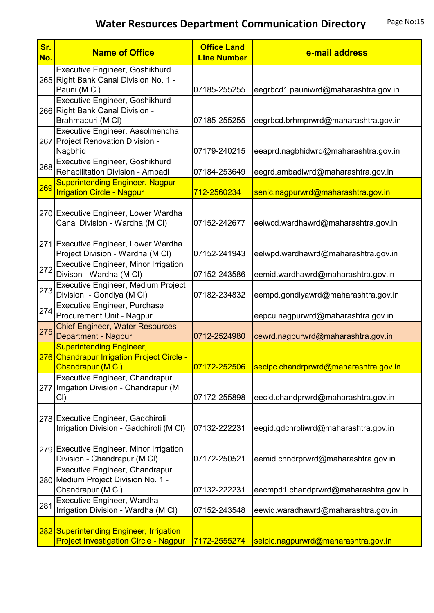| Sr.<br>No. | <b>Name of Office</b>                                                                              | <b>Office Land</b><br><b>Line Number</b> | e-mail address                        |
|------------|----------------------------------------------------------------------------------------------------|------------------------------------------|---------------------------------------|
|            | Executive Engineer, Goshikhurd<br>265 Right Bank Canal Division No. 1 -<br>Pauni (M CI)            | 07185-255255                             | eegrbcd1.pauniwrd@maharashtra.gov.in  |
|            | Executive Engineer, Goshikhurd<br>266 Right Bank Canal Division -<br>Brahmapuri (M CI)             | 07185-255255                             | eegrbcd.brhmprwrd@maharashtra.gov.in  |
|            | Executive Engineer, Aasolmendha<br>267 Project Renovation Division -<br>Nagbhid                    | 07179-240215                             | eeaprd.nagbhidwrd@maharashtra.gov.in  |
| 268        | Executive Engineer, Goshikhurd<br>Rehabilitation Division - Ambadi                                 | 07184-253649                             | eegrd.ambadiwrd@maharashtra.gov.in    |
| 269        | <b>Superintending Engineer, Nagpur</b><br><b>Irrigation Circle - Nagpur</b>                        | 712-2560234                              | senic.nagpurwrd@maharashtra.gov.in    |
|            | 270 Executive Engineer, Lower Wardha<br>Canal Division - Wardha (M CI)                             | 07152-242677                             | eelwcd.wardhawrd@maharashtra.gov.in   |
|            | 271 Executive Engineer, Lower Wardha<br>Project Division - Wardha (M CI)                           | 07152-241943                             | eelwpd.wardhawrd@maharashtra.gov.in   |
| 272        | <b>Executive Engineer, Minor Irrigation</b><br>Divison - Wardha (M Cl)                             | 07152-243586                             | eemid.wardhawrd@maharashtra.gov.in    |
| 273        | <b>Executive Engineer, Medium Project</b><br>Division - Gondiya (M CI)                             | 07182-234832                             | eempd.gondiyawrd@maharashtra.gov.in   |
| 274        | <b>Executive Engineer, Purchase</b><br>Procurement Unit - Nagpur                                   |                                          | eepcu.nagpurwrd@maharashtra.gov.in    |
| 275        | <b>Chief Engineer, Water Resources</b><br>Department - Nagpur                                      | 0712-2524980                             | cewrd.nagpurwrd@maharashtra.gov.in    |
|            | <b>Superintending Engineer,</b><br>276 Chandrapur Irrigation Project Circle -<br>Chandrapur (M CI) | 07172-252506                             | secipc.chandrprwrd@maharashtra.gov.in |
|            | Executive Engineer, Chandrapur<br>277 Irrigation Division - Chandrapur (M<br>CI)                   | 07172-255898                             | eecid.chandprwrd@maharashtra.gov.in   |
|            | 278 Executive Engineer, Gadchiroli<br>Irrigation Division - Gadchiroli (M CI)                      | 07132-222231                             | eegid.gdchroliwrd@maharashtra.gov.in  |
|            | 279 Executive Engineer, Minor Irrigation<br>Division - Chandrapur (M CI)                           | 07172-250521                             | eemid.chndrprwrd@maharashtra.gov.in   |
|            | Executive Engineer, Chandrapur<br>280 Medium Project Division No. 1 -<br>Chandrapur (M CI)         | 07132-222231                             | eecmpd1.chandprwrd@maharashtra.gov.in |
| 281        | Executive Engineer, Wardha<br>Irrigation Division - Wardha (M CI)                                  | 07152-243548                             | eewid.waradhawrd@maharashtra.gov.in   |
|            | 282 Superintending Engineer, Irrigation<br><b>Project Investigation Circle - Nagpur</b>            | 7172-2555274                             | seipic.nagpurwrd@maharashtra.gov.in   |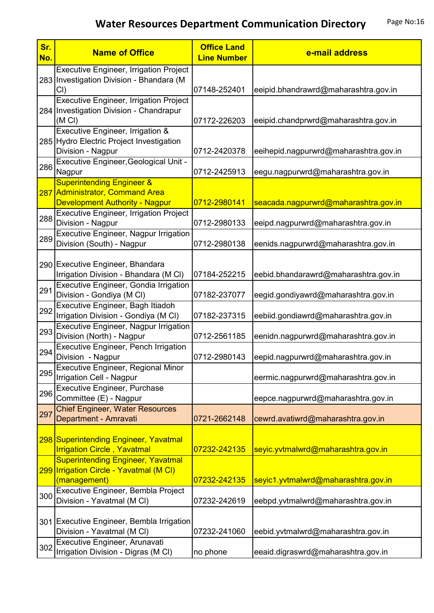| Sr.<br>No. | <b>Name of Office</b>                                                                                            | <b>Office Land</b><br><b>Line Number</b> | e-mail address                                                             |
|------------|------------------------------------------------------------------------------------------------------------------|------------------------------------------|----------------------------------------------------------------------------|
|            | <b>Executive Engineer, Irrigation Project</b><br>283 Investigation Division - Bhandara (M<br>CI)                 | 07148-252401                             | eeipid.bhandrawrd@maharashtra.gov.in                                       |
|            | <b>Executive Engineer, Irrigation Project</b><br>284 Investigation Division - Chandrapur<br>(M <sub>C</sub> )    | 07172-226203                             | eeipid.chandprwrd@maharashtra.gov.in                                       |
|            | Executive Engineer, Irrigation &<br>285 Hydro Electric Project Investigation                                     |                                          |                                                                            |
| 286        | Division - Nagpur<br>Executive Engineer, Geological Unit -<br>Nagpur                                             | 0712-2420378<br>0712-2425913             | eeihepid.nagpurwrd@maharashtra.gov.in<br>eegu.nagpurwrd@maharashtra.gov.in |
|            | <b>Superintending Engineer &amp;</b><br>287 Administrator, Command Area<br><b>Development Authority - Nagpur</b> | 0712-2980141                             | seacada.nagpurwrd@maharashtra.gov.in                                       |
| 288        | <b>Executive Engineer, Irrigation Project</b><br>Division - Nagpur                                               | 0712-2980133                             | eeipd.nagpurwrd@maharashtra.gov.in                                         |
| 289        | <b>Executive Engineer, Nagpur Irrigation</b><br>Division (South) - Nagpur                                        | 0712-2980138                             | eenids.nagpurwrd@maharashtra.gov.in                                        |
|            | 290 Executive Engineer, Bhandara<br>Irrigation Division - Bhandara (M CI)                                        | 07184-252215                             | eebid.bhandarawrd@maharashtra.gov.in                                       |
| 291        | Executive Engineer, Gondia Irrigation<br>Division - Gondiya (M CI)                                               | 07182-237077                             | eegid.gondiyawrd@maharashtra.gov.in                                        |
| 292        | Executive Engineer, Bagh Itiadoh<br>Irrigation Division - Gondiya (M CI)                                         | 07182-237315                             | eebiid.gondiawrd@maharashtra.gov.in                                        |
| 293        | <b>Executive Engineer, Nagpur Irrigation</b><br>Division (North) - Nagpur                                        | 0712-2561185                             | eenidn.nagpurwrd@maharashtra.gov.in                                        |
| 294        | <b>Executive Engineer, Pench Irrigation</b><br>Division - Nagpur                                                 | 0712-2980143                             | eepid.nagpurwrd@maharashtra.gov.in                                         |
| 295        | Executive Engineer, Regional Minor<br>Irrigation Cell - Nagpur                                                   |                                          | eermic.nagpurwrd@maharashtra.gov.in                                        |
| 296        | <b>Executive Engineer, Purchase</b><br>Committee (E) - Nagpur                                                    |                                          | eepce.nagpurwrd@maharashtra.gov.in                                         |
| 297        | <b>Chief Engineer, Water Resources</b><br>Department - Amravati                                                  | 0721-2662148                             | cewrd.avatiwrd@maharashtra.gov.in                                          |
|            | 298 Superintending Engineer, Yavatmal<br><b>Irrigation Circle, Yavatmal</b>                                      | 07232-242135                             | seyic.yvtmalwrd@maharashtra.gov.in                                         |
|            | <b>Superintending Engineer, Yavatmal</b><br>299 Irrigation Circle - Yavatmal (M CI)<br>(management)              | 07232-242135                             | seyic1.yvtmalwrd@maharashtra.gov.in                                        |
| 300        | Executive Engineer, Bembla Project<br>Division - Yavatmal (M Cl)                                                 | 07232-242619                             | eebpd.yvtmalwrd@maharashtra.gov.in                                         |
|            | 301 Executive Engineer, Bembla Irrigation<br>Division - Yavatmal (M Cl)                                          | 07232-241060                             | eebid.yvtmalwrd@maharashtra.gov.in                                         |
| 302        | Executive Engineer, Arunavati<br>Irrigation Division - Digras (M CI)                                             | no phone                                 | eeaid.digraswrd@maharashtra.gov.in                                         |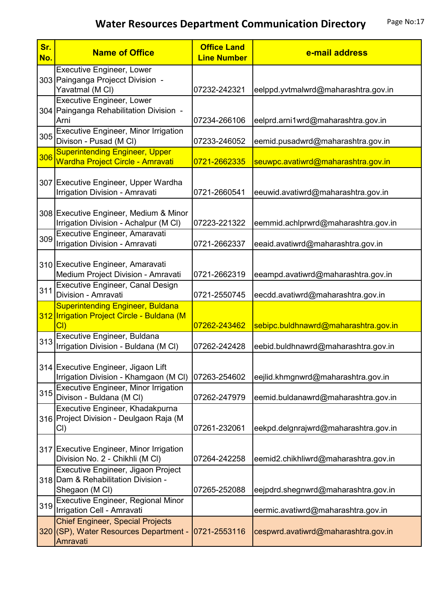| Sr.<br>No. | <b>Name of Office</b>                                                                         | <b>Office Land</b><br><b>Line Number</b> | e-mail address                       |
|------------|-----------------------------------------------------------------------------------------------|------------------------------------------|--------------------------------------|
|            | <b>Executive Engineer, Lower</b><br>303 Painganga Projecct Division -<br>Yavatmal (M CI)      | 07232-242321                             | eelppd.yvtmalwrd@maharashtra.gov.in  |
|            | <b>Executive Engineer, Lower</b><br>304 Painganga Rehabilitation Division -<br>Arni           | 07234-266106                             | eelprd.arni1wrd@maharashtra.gov.in   |
| 305        | <b>Executive Engineer, Minor Irrigation</b><br>Divison - Pusad (M CI)                         | 07233-246052                             | eemid.pusadwrd@maharashtra.gov.in    |
| 306        | <b>Superintending Engineer, Upper</b><br><b>Wardha Project Circle - Amravati</b>              | 0721-2662335                             | seuwpc.avatiwrd@maharashtra.gov.in   |
|            | 307 Executive Engineer, Upper Wardha<br>Irrigation Division - Amravati                        | 0721-2660541                             | eeuwid.avatiwrd@maharashtra.gov.in   |
|            | 308 Executive Engineer, Medium & Minor<br>Irrigation Division - Achalpur (M CI)               | 07223-221322                             | eemmid.achlprwrd@maharashtra.gov.in  |
| 309        | Executive Engineer, Amaravati<br>Irrigation Division - Amravati                               | 0721-2662337                             | eeaid.avatiwrd@maharashtra.gov.in    |
|            | 310 Executive Engineer, Amaravati<br>Medium Project Division - Amravati                       | 0721-2662319                             | eeampd.avatiwrd@maharashtra.gov.in   |
| 311        | Executive Engineer, Canal Design<br>Division - Amravati                                       | 0721-2550745                             | eecdd.avatiwrd@maharashtra.gov.in    |
|            | <b>Superintending Engineer, Buldana</b><br>312 Irrigation Project Circle - Buldana (M<br>Cl   | 07262-243462                             | sebipc.buldhnawrd@maharashtra.gov.in |
| 313        | Executive Engineer, Buldana<br>Irrigation Division - Buldana (M CI)                           | 07262-242428                             | eebid.buldhnawrd@maharashtra.gov.in  |
|            | 314 Executive Engineer, Jigaon Lift<br>Irrigation Division - Khamgaon (M CI)                  | 07263-254602                             | eejlid.khmgnwrd@maharashtra.gov.in   |
| 315        | <b>Executive Engineer, Minor Irrigation</b><br>Divison - Buldana (M Cl)                       | 07262-247979                             | eemid.buldanawrd@maharashtra.gov.in  |
|            | Executive Engineer, Khadakpurna<br>316 Project Division - Deulgaon Raja (M<br>CI)             | 07261-232061                             | eekpd.delgnrajwrd@maharashtra.gov.in |
|            | 317 Executive Engineer, Minor Irrigation<br>Division No. 2 - Chikhli (M Cl)                   | 07264-242258                             | eemid2.chikhliwrd@maharashtra.gov.in |
|            | Executive Engineer, Jigaon Project<br>318 Dam & Rehabilitation Division -<br>Shegaon (M CI)   | 07265-252088                             | eejpdrd.shegnwrd@maharashtra.gov.in  |
| 319        | <b>Executive Engineer, Regional Minor</b><br>Irrigation Cell - Amravati                       |                                          | eermic.avatiwrd@maharashtra.gov.in   |
|            | <b>Chief Engineer, Special Projects</b><br>320 (SP), Water Resources Department -<br>Amravati | 0721-2553116                             | cespwrd.avatiwrd@maharashtra.gov.in  |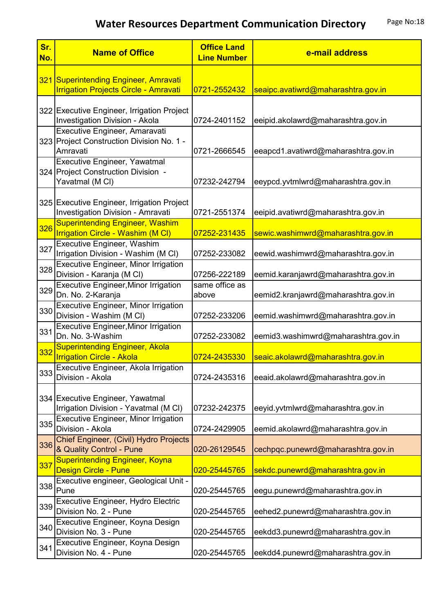| Sr.<br>No. | <b>Name of Office</b>                                                                  | <b>Office Land</b><br><b>Line Number</b> | e-mail address                      |
|------------|----------------------------------------------------------------------------------------|------------------------------------------|-------------------------------------|
|            | 321 Superintending Engineer, Amravati<br><b>Irrigation Projects Circle - Amravati</b>  | 0721-2552432                             | seaipc.avatiwrd@maharashtra.gov.in  |
|            | 322 Executive Engineer, Irrigation Project<br>Investigation Division - Akola           | 0724-2401152                             | eeipid.akolawrd@maharashtra.gov.in  |
|            | Executive Engineer, Amaravati<br>323 Project Construction Division No. 1 -<br>Amravati | 0721-2666545                             | eeapcd1.avatiwrd@maharashtra.gov.in |
|            | Executive Engineer, Yawatmal<br>324 Project Construction Division -<br>Yavatmal (M CI) | 07232-242794                             | eeypcd.yvtmlwrd@maharashtra.gov.in  |
|            | 325 Executive Engineer, Irrigation Project<br>Investigation Division - Amravati        | 0721-2551374                             | eeipid.avatiwrd@maharashtra.gov.in  |
| 326        | <b>Superintending Engineer, Washim</b><br><b>Irrigation Circle - Washim (M CI)</b>     | 07252-231435                             | sewic.washimwrd@maharashtra.gov.in  |
| 327        | <b>Executive Engineer, Washim</b><br>Irrigation Division - Washim (M CI)               | 07252-233082                             | eewid.washimwrd@maharashtra.gov.in  |
| 328        | <b>Executive Engineer, Minor Irrigation</b><br>Division - Karanja (M CI)               | 07256-222189                             | eemid.karanjawrd@maharashtra.gov.in |
| 329        | <b>Executive Engineer, Minor Irrigation</b><br>Dn. No. 2-Karanja                       | same office as<br>above                  | eemid2.kranjawrd@maharashtra.gov.in |
| 330        | Executive Engineer, Minor Irrigation<br>Division - Washim (M CI)                       | 07252-233206                             | eemid.washimwrd@maharashtra.gov.in  |
| 331        | <b>Executive Engineer, Minor Irrigation</b><br>Dn. No. 3-Washim                        | 07252-233082                             | eemid3.washimwrd@maharashtra.gov.in |
| 332        | <b>Superintending Engineer, Akola</b><br><b>Irrigation Circle - Akola</b>              | 0724-2435330                             | seaic.akolawrd@maharashtra.gov.in   |
| 333        | Executive Engineer, Akola Irrigation<br>Division - Akola                               | 0724-2435316                             | eeaid.akolawrd@maharashtra.gov.in   |
|            | 334 Executive Engineer, Yawatmal<br>Irrigation Division - Yavatmal (M CI)              | 07232-242375                             | eeyid.yvtmlwrd@maharashtra.gov.in   |
| 335        | <b>Executive Engineer, Minor Irrigation</b><br>Division - Akola                        | 0724-2429905                             | eemid.akolawrd@maharashtra.gov.in   |
| 336        | Chief Engineer, (Civil) Hydro Projects<br>& Quality Control - Pune                     | 020-26129545                             | cechpqc.punewrd@maharashtra.gov.in  |
| 337        | <b>Superintending Engineer, Koyna</b><br><b>Design Circle - Pune</b>                   | 020-25445765                             | sekdc.punewrd@maharashtra.gov.in    |
| 338        | Executive engineer, Geological Unit -<br>Pune                                          | 020-25445765                             | eegu.punewrd@maharashtra.gov.in     |
| 339        | Executive Engineer, Hydro Electric<br>Division No. 2 - Pune                            | 020-25445765                             | eehed2.punewrd@maharashtra.gov.in   |
| 340        | Executive Engineer, Koyna Design<br>Division No. 3 - Pune                              | 020-25445765                             | eekdd3.punewrd@maharashtra.gov.in   |
| 341        | Executive Engineer, Koyna Design<br>Division No. 4 - Pune                              | 020-25445765                             | eekdd4.punewrd@maharashtra.gov.in   |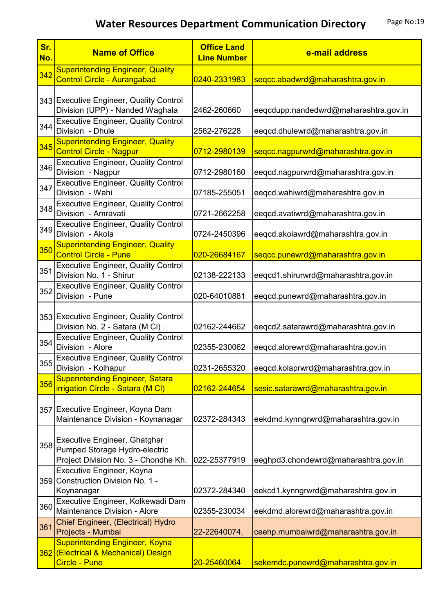| Sr.<br>No. | <b>Name of Office</b>                                                                                 | <b>Office Land</b><br><b>Line Number</b> | e-mail address                        |
|------------|-------------------------------------------------------------------------------------------------------|------------------------------------------|---------------------------------------|
| 342        | <b>Superintending Engineer, Quality</b><br><b>Control Circle - Aurangabad</b>                         | 0240-2331983                             | seqcc.abadwrd@maharashtra.gov.in      |
|            | 343 Executive Engineer, Quality Control<br>Division (UPP) - Nanded Waghala                            | 2462-260660                              | eeqcdupp.nandedwrd@maharashtra.gov.in |
| 344        | <b>Executive Engineer, Quality Control</b><br>Division - Dhule                                        | 2562-276228                              | eeqcd.dhulewrd@maharashtra.gov.in     |
| 345        | <b>Superintending Engineer, Quality</b><br><b>Control Circle - Nagpur</b>                             | 0712-2980139                             | seqcc.nagpurwrd@maharashtra.gov.in    |
| 346        | <b>Executive Engineer, Quality Control</b><br>Division - Nagpur                                       | 0712-2980160                             | eeqcd.nagpurwrd@maharashtra.gov.in    |
| 347        | <b>Executive Engineer, Quality Control</b><br>Division - Wahi                                         | 07185-255051                             | eeqcd.wahiwrd@maharashtra.gov.in      |
| 348        | <b>Executive Engineer, Quality Control</b><br>Division - Amravati                                     | 0721-2662258                             | eeqcd.avatiwrd@maharashtra.gov.in     |
| 349        | <b>Executive Engineer, Quality Control</b><br>Division - Akola                                        | 0724-2450396                             | eeqcd.akolawrd@maharashtra.gov.in     |
| 350        | <b>Superintending Engineer, Quality</b><br><b>Control Circle - Pune</b>                               | 020-26684167                             | seqcc.punewrd@maharashtra.gov.in      |
| 351        | <b>Executive Engineer, Quality Control</b><br>Division No. 1 - Shirur                                 | 02138-222133                             | eeqcd1.shirurwrd@maharashtra.gov.in   |
| 352        | <b>Executive Engineer, Quality Control</b><br>Division - Pune                                         | 020-64010881                             | eeqcd.punewrd@maharashtra.gov.in      |
|            | 353 Executive Engineer, Quality Control<br>Division No. 2 - Satara (M CI)                             | 02162-244662                             | eeqcd2.satarawrd@maharashtra.gov.in   |
| 354        | <b>Executive Engineer, Quality Control</b><br>Division - Alore                                        | 02355-230062                             | eeqcd.alorewrd@maharashtra.gov.in     |
| 355        | <b>Executive Engineer, Quality Control</b><br>Division - Kolhapur                                     | 0231-2655320                             | eeqcd.kolaprwrd@maharashtra.gov.in    |
| 356        | <b>Superintending Engineer, Satara</b><br>irrigation Circle - Satara (M CI)                           | 02162-244654                             | sesic.satarawrd@maharashtra.gov.in    |
|            | 357 Executive Engineer, Koyna Dam<br>Maintenance Division - Koynanagar                                | 02372-284343                             | eekdmd.kynngrwrd@maharashtra.gov.in   |
| 358        | Executive Engineer, Ghatghar<br>Pumped Storage Hydro-electric<br>Project Division No. 3 - Chondhe Kh. | 022-25377919                             | eeghpd3.chondewrd@maharashtra.gov.in  |
|            | Executive Engineer, Koyna<br>359 Construction Division No. 1 -<br>Koynanagar                          | 02372-284340                             | eekcd1.kynngrwrd@maharashtra.gov.in   |
| 360        | Executive Engineer, Kolkewadi Dam<br>Maintenance Division - Alore                                     | 02355-230034                             | eekdmd.alorewrd@maharashtra.gov.in    |
| 361        | Chief Engineer, (Electrical) Hydro<br>Projects - Mumbai                                               | 22-22640074,                             | ceehp.mumbaiwrd@maharashtra.gov.in    |
|            | <b>Superintending Engineer, Koyna</b><br>362 (Electrical & Mechanical) Design<br><b>Circle - Pune</b> | 20-25460064                              | sekemdc.punewrd@maharashtra.gov.in    |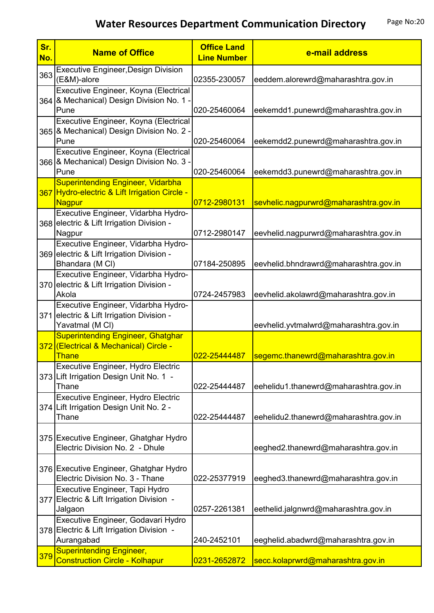| Sr.<br>No. | <b>Name of Office</b>                                                                               | <b>Office Land</b><br><b>Line Number</b> | e-mail address                        |
|------------|-----------------------------------------------------------------------------------------------------|------------------------------------------|---------------------------------------|
| 363        | <b>Executive Engineer, Design Division</b><br>(E&M)-alore                                           | 02355-230057                             | eeddem.alorewrd@maharashtra.gov.in    |
|            | Executive Engineer, Koyna (Electrical<br>364 & Mechanical) Design Division No. 1 -<br>Pune          | 020-25460064                             | eekemdd1.punewrd@maharashtra.gov.in   |
|            | Executive Engineer, Koyna (Electrical<br>365 & Mechanical) Design Division No. 2 -<br>Pune          | 020-25460064                             | eekemdd2.punewrd@maharashtra.gov.in   |
|            | Executive Engineer, Koyna (Electrical<br>366 & Mechanical) Design Division No. 3 -<br>Pune          | 020-25460064                             | eekemdd3.punewrd@maharashtra.gov.in   |
|            | <b>Superintending Engineer, Vidarbha</b><br>367 Hydro-electric & Lift Irrigation Circle -<br>Nagpur | 0712-2980131                             | sevhelic.nagpurwrd@maharashtra.gov.in |
|            | Executive Engineer, Vidarbha Hydro-<br>368 electric & Lift Irrigation Division -<br>Nagpur          | 0712-2980147                             | eevhelid.nagpurwrd@maharashtra.gov.in |
|            | Executive Engineer, Vidarbha Hydro-<br>369 electric & Lift Irrigation Division -<br>Bhandara (M CI) | 07184-250895                             | eevhelid.bhndrawrd@maharashtra.gov.in |
|            | Executive Engineer, Vidarbha Hydro-<br>370 electric & Lift Irrigation Division -<br>Akola           | 0724-2457983                             | eevhelid.akolawrd@maharashtra.gov.in  |
|            | Executive Engineer, Vidarbha Hydro-<br>371 electric & Lift Irrigation Division -<br>Yavatmal (M CI) |                                          | eevhelid.yvtmalwrd@maharashtra.gov.in |
|            | <b>Superintending Engineer, Ghatghar</b><br>372 (Electrical & Mechanical) Circle -<br><b>Thane</b>  | 022-25444487                             | segemc.thanewrd@maharashtra.gov.in    |
|            | Executive Engineer, Hydro Electric<br>373 Lift Irrigation Design Unit No. 1 -<br>Thane              | 022-25444487                             | eehelidu1.thanewrd@maharashtra.gov.in |
|            | Executive Engineer, Hydro Electric<br>374 Lift Irrigation Design Unit No. 2 -<br>Thane              | 022-25444487                             | eehelidu2.thanewrd@maharashtra.gov.in |
|            | 375 Executive Engineer, Ghatghar Hydro<br>Electric Division No. 2 - Dhule                           |                                          | eeghed2.thanewrd@maharashtra.gov.in   |
|            | 376 Executive Engineer, Ghatghar Hydro<br>Electric Division No. 3 - Thane                           | 022-25377919                             | eeghed3.thanewrd@maharashtra.gov.in   |
|            | Executive Engineer, Tapi Hydro<br>377 Electric & Lift Irrigation Division -<br>Jalgaon              | 0257-2261381                             | eethelid.jalgnwrd@maharashtra.gov.in  |
|            | Executive Engineer, Godavari Hydro<br>378 Electric & Lift Irrigation Division -<br>Aurangabad       | 240-2452101                              | eeghelid.abadwrd@maharashtra.gov.in   |
| 379        | <b>Superintending Engineer,</b><br><b>Construction Circle - Kolhapur</b>                            | 0231-2652872                             | secc.kolaprwrd@maharashtra.gov.in     |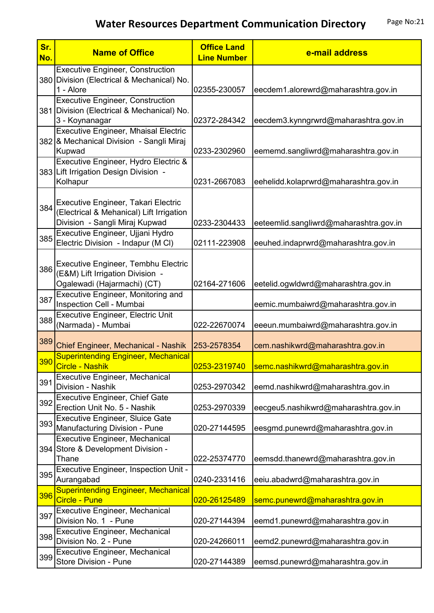| Sr.<br>No. | <b>Name of Office</b>                                                                                                 | <b>Office Land</b><br><b>Line Number</b> | e-mail address                         |
|------------|-----------------------------------------------------------------------------------------------------------------------|------------------------------------------|----------------------------------------|
|            | <b>Executive Engineer, Construction</b><br>380 Division (Electrical & Mechanical) No.                                 |                                          |                                        |
|            | 1 - Alore                                                                                                             | 02355-230057                             | eecdem1.alorewrd@maharashtra.gov.in    |
|            | <b>Executive Engineer, Construction</b><br>381 Division (Electrical & Mechanical) No.<br>3 - Koynanagar               | 02372-284342                             | eecdem3.kynngrwrd@maharashtra.gov.in   |
|            | <b>Executive Engineer, Mhaisal Electric</b><br>382 & Mechanical Division - Sangli Miraj<br>Kupwad                     | 0233-2302960                             | eememd.sangliwrd@maharashtra.gov.in    |
|            | Executive Engineer, Hydro Electric &<br>383 Lift Irrigation Design Division -<br>Kolhapur                             | 0231-2667083                             | eehelidd.kolaprwrd@maharashtra.gov.in  |
|            | 384 Executive Engineer, Takari Electric<br>(Electrical & Mehanical) Lift Irrigation<br>Division - Sangli Miraj Kupwad | 0233-2304433                             | eeteemlid.sangliwrd@maharashtra.gov.in |
| 385        | Executive Engineer, Ujjani Hydro<br>Electric Division - Indapur (M CI)                                                | 02111-223908                             | eeuhed.indaprwrd@maharashtra.gov.in    |
| 386        | Executive Engineer, Tembhu Electric<br>(E&M) Lift Irrigation Division -<br>Ogalewadi (Hajarmachi) (CT)                | 02164-271606                             | eetelid.ogwldwrd@maharashtra.gov.in    |
| 387        | Executive Engineer, Monitoring and<br>Inspection Cell - Mumbai                                                        |                                          | eemic.mumbaiwrd@maharashtra.gov.in     |
| 388        | <b>Executive Engineer, Electric Unit</b><br>(Narmada) - Mumbai                                                        | 022-22670074                             | eeeun.mumbaiwrd@maharashtra.gov.in     |
| 389        | Chief Engineer, Mechanical - Nashik                                                                                   | 253-2578354                              | cem.nashikwrd@maharashtra.gov.in       |
| 390        | <b>Superintending Engineer, Mechanical</b><br>Circle - Nashik                                                         | 0253-2319740                             | semc.nashikwrd@maharashtra.gov.in      |
| 391        | Executive Engineer, Mechanical<br>Division - Nashik                                                                   | 0253-2970342                             | eemd.nashikwrd@maharashtra.gov.in      |
| 392        | <b>Executive Engineer, Chief Gate</b><br>Erection Unit No. 5 - Nashik                                                 | 0253-2970339                             | eecgeu5.nashikwrd@maharashtra.gov.in   |
| 393        | Executive Engineer, Sluice Gate<br>Manufacturing Division - Pune                                                      | 020-27144595                             | eesgmd.punewrd@maharashtra.gov.in      |
|            | <b>Executive Engineer, Mechanical</b><br>394 Store & Development Division -<br>Thane                                  | 022-25374770                             | eemsdd.thanewrd@maharashtra.gov.in     |
| 395        | Executive Engineer, Inspection Unit -<br>Aurangabad                                                                   | 0240-2331416                             | eeiu.abadwrd@maharashtra.gov.in        |
| 396        | <b>Superintending Engineer, Mechanical</b><br>Circle - Pune                                                           | 020-26125489                             | semc.punewrd@maharashtra.gov.in        |
| 397        | Executive Engineer, Mechanical<br>Division No. 1 - Pune                                                               | 020-27144394                             | eemd1.punewrd@maharashtra.gov.in       |
| 398        | Executive Engineer, Mechanical<br>Division No. 2 - Pune                                                               | 020-24266011                             | eemd2.punewrd@maharashtra.gov.in       |
| 399        | <b>Executive Engineer, Mechanical</b><br>Store Division - Pune                                                        | 020-27144389                             | eemsd.punewrd@maharashtra.gov.in       |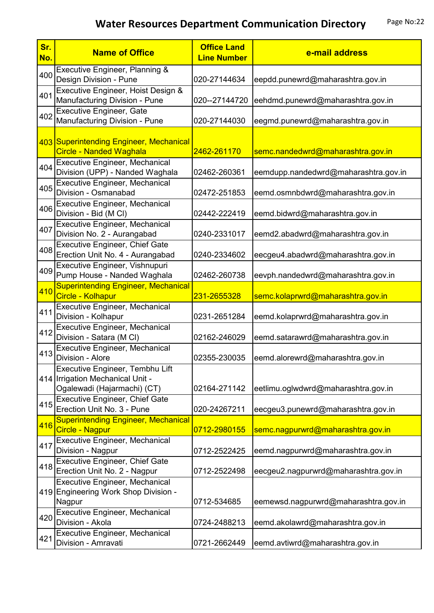| Sr.<br>No. | <b>Name of Office</b>                                                                              | <b>Office Land</b><br><b>Line Number</b> | e-mail address                       |
|------------|----------------------------------------------------------------------------------------------------|------------------------------------------|--------------------------------------|
| 400        | Executive Engineer, Planning &<br>Design Division - Pune                                           | 020-27144634                             | eepdd.punewrd@maharashtra.gov.in     |
| 401        | Executive Engineer, Hoist Design &<br>Manufacturing Division - Pune                                | 020--27144720                            | eehdmd.punewrd@maharashtra.gov.in    |
| 402        | <b>Executive Engineer, Gate</b><br>Manufacturing Division - Pune                                   | 020-27144030                             | eegmd.punewrd@maharashtra.gov.in     |
|            | 403 Superintending Engineer, Mechanical<br><b>Circle - Nanded Waghala</b>                          | 2462-261170                              | semc.nandedwrd@maharashtra.gov.in    |
| 404        | <b>Executive Engineer, Mechanical</b><br>Division (UPP) - Nanded Waghala                           | 02462-260361                             | eemdupp.nandedwrd@maharashtra.gov.in |
| 405        | <b>Executive Engineer, Mechanical</b><br>Division - Osmanabad                                      | 02472-251853                             | eemd.osmnbdwrd@maharashtra.gov.in    |
| 406        | <b>Executive Engineer, Mechanical</b><br>Division - Bid (M CI)                                     | 02442-222419                             | eemd.bidwrd@maharashtra.gov.in       |
| 407        | <b>Executive Engineer, Mechanical</b><br>Division No. 2 - Aurangabad                               | 0240-2331017                             | eemd2.abadwrd@maharashtra.gov.in     |
| 408        | <b>Executive Engineer, Chief Gate</b><br>Erection Unit No. 4 - Aurangabad                          | 0240-2334602                             | eecgeu4.abadwrd@maharashtra.gov.in   |
| 409        | Executive Engineer, Vishnupuri<br>Pump House - Nanded Waghala                                      | 02462-260738                             | eevph.nandedwrd@maharashtra.gov.in   |
| 410        | <b>Superintending Engineer, Mechanical</b><br>Circle - Kolhapur                                    | 231-2655328                              | semc.kolaprwrd@maharashtra.gov.in    |
| 411        | <b>Executive Engineer, Mechanical</b><br>Division - Kolhapur                                       | 0231-2651284                             | eemd.kolaprwrd@maharashtra.gov.in    |
| 412        | Executive Engineer, Mechanical<br>Division - Satara (M Cl)                                         | 02162-246029                             | eemd.satarawrd@maharashtra.gov.in    |
| 413        | <b>Executive Engineer, Mechanical</b><br>Division - Alore                                          | 02355-230035                             | eemd.alorewrd@maharashtra.gov.in     |
|            | Executive Engineer, Tembhu Lift<br>414 Irrigation Mechanical Unit -<br>Ogalewadi (Hajarmachi) (CT) | 02164-271142                             | eetlimu.oglwdwrd@maharashtra.gov.in  |
| 415        | <b>Executive Engineer, Chief Gate</b><br>Erection Unit No. 3 - Pune                                | 020-24267211                             | eecgeu3.punewrd@maharashtra.gov.in   |
| 416        | <b>Superintending Engineer, Mechanical</b><br><b>Circle - Nagpur</b>                               | 0712-2980155                             | semc.nagpurwrd@maharashtra.gov.in    |
| 417        | <b>Executive Engineer, Mechanical</b><br>Division - Nagpur                                         | 0712-2522425                             | eemd.nagpurwrd@maharashtra.gov.in    |
| 418        | Executive Engineer, Chief Gate<br>Erection Unit No. 2 - Nagpur                                     | 0712-2522498                             | eecgeu2.nagpurwrd@maharashtra.gov.in |
|            | <b>Executive Engineer, Mechanical</b><br>419 Engineering Work Shop Division -<br>Nagpur            | 0712-534685                              | eemewsd.nagpurwrd@maharashtra.gov.in |
| 420        | <b>Executive Engineer, Mechanical</b><br>Division - Akola                                          | 0724-2488213                             | eemd.akolawrd@maharashtra.gov.in     |
| 421        | <b>Executive Engineer, Mechanical</b><br>Division - Amravati                                       | 0721-2662449                             | eemd.avtiwrd@maharashtra.gov.in      |